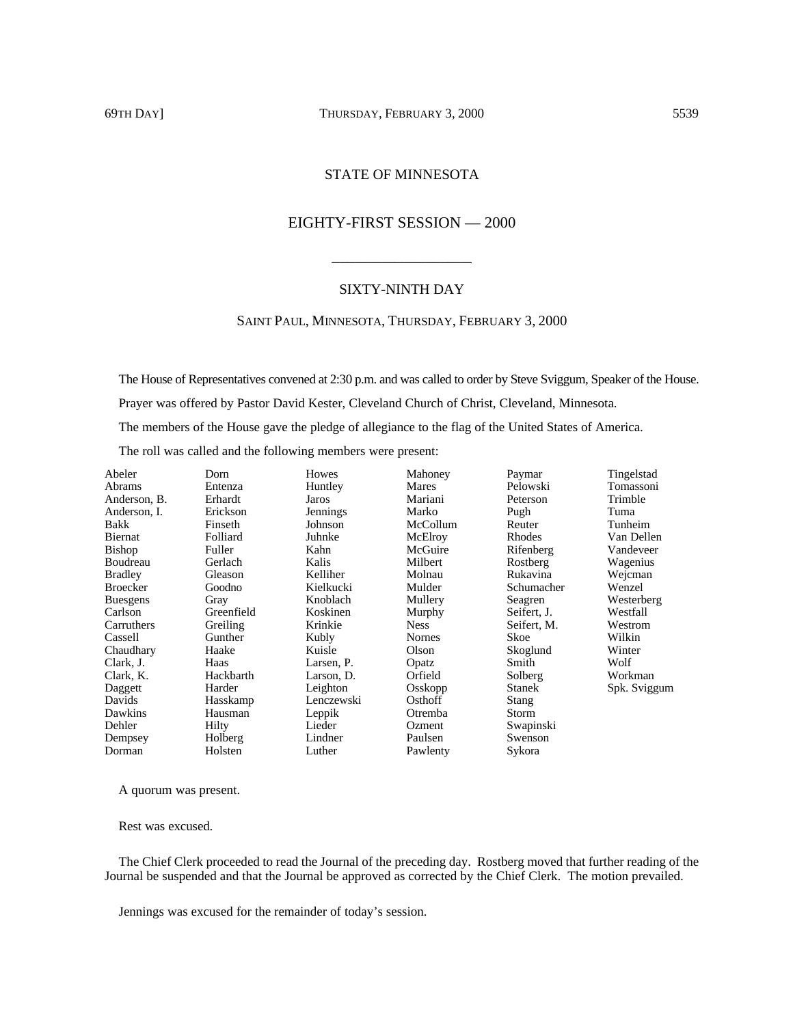## 69TH DAY] THURSDAY, FEBRUARY 3, 2000 5539

## STATE OF MINNESOTA

# EIGHTY-FIRST SESSION — 2000

### SIXTY-NINTH DAY

\_\_\_\_\_\_\_\_\_\_\_\_\_\_\_\_\_\_

### SAINT PAUL, MINNESOTA, THURSDAY, FEBRUARY 3, 2000

The House of Representatives convened at 2:30 p.m. and was called to order by Steve Sviggum, Speaker of the House. Prayer was offered by Pastor David Kester, Cleveland Church of Christ, Cleveland, Minnesota. The members of the House gave the pledge of allegiance to the flag of the United States of America. The roll was called and the following members were present:

| Abeler          | Dorn       | Howes           | Mahoney       | Paymar        | Tingelstad   |
|-----------------|------------|-----------------|---------------|---------------|--------------|
| Abrams          | Entenza    | Huntley         | Mares         | Pelowski      | Tomassoni    |
| Anderson, B.    | Erhardt    | Jaros           | Mariani       | Peterson      | Trimble      |
| Anderson, I.    | Erickson   | <b>Jennings</b> | Marko         | Pugh          | Tuma         |
| <b>Bakk</b>     | Finseth    | Johnson         | McCollum      | Reuter        | Tunheim      |
| Biernat         | Folliard   | Juhnke          | McElroy       | Rhodes        | Van Dellen   |
| <b>Bishop</b>   | Fuller     | Kahn            | McGuire       | Rifenberg     | Vandeveer    |
| Boudreau        | Gerlach    | Kalis           | Milbert       | Rostberg      | Wagenius     |
| <b>Bradley</b>  | Gleason    | Kelliher        | Molnau        | Rukavina      | Wejcman      |
| <b>Broecker</b> | Goodno     | Kielkucki       | Mulder        | Schumacher    | Wenzel       |
| <b>Buesgens</b> | Gray       | Knoblach        | Mullery       | Seagren       | Westerberg   |
| Carlson         | Greenfield | Koskinen        | Murphy        | Seifert, J.   | Westfall     |
| Carruthers      | Greiling   | Krinkie         | <b>Ness</b>   | Seifert, M.   | Westrom      |
| Cassell         | Gunther    | Kubly           | <b>Nornes</b> | Skoe          | Wilkin       |
| Chaudhary       | Haake      | Kuisle          | Olson         | Skoglund      | Winter       |
| Clark, J.       | Haas       | Larsen, P.      | Opatz         | Smith         | Wolf         |
| Clark, K.       | Hackbarth  | Larson, D.      | Orfield       | Solberg       | Workman      |
| Daggett         | Harder     | Leighton        | Osskopp       | <b>Stanek</b> | Spk. Sviggum |
| Davids          | Hasskamp   | Lenczewski      | Osthoff       | Stang         |              |
| Dawkins         | Hausman    | Leppik          | Otremba       | Storm         |              |
| Dehler          | Hilty      | Lieder          | Ozment        | Swapinski     |              |
| Dempsey         | Holberg    | Lindner         | Paulsen       | Swenson       |              |
| Dorman          | Holsten    | Luther          | Pawlenty      | Sykora        |              |

A quorum was present.

Rest was excused.

The Chief Clerk proceeded to read the Journal of the preceding day. Rostberg moved that further reading of the Journal be suspended and that the Journal be approved as corrected by the Chief Clerk. The motion prevailed.

Jennings was excused for the remainder of today's session.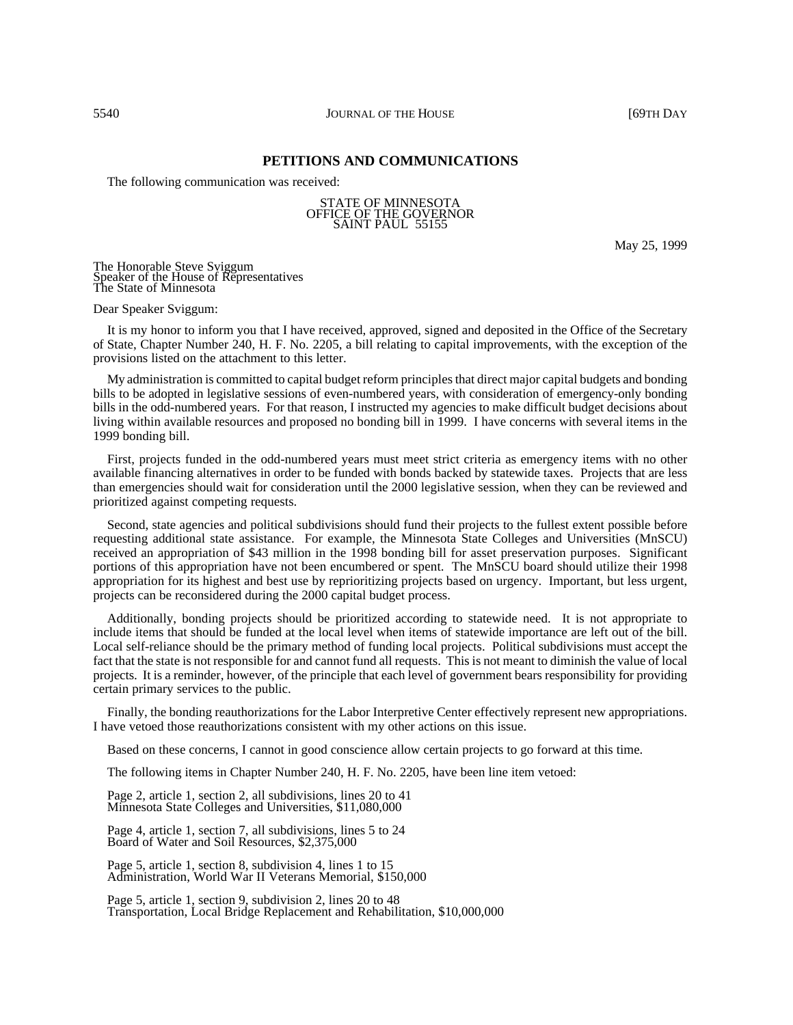### **PETITIONS AND COMMUNICATIONS**

The following communication was received:

#### STATE OF MINNESOTA OFFICE OF THE GOVERNOR SAINT PAUL 55155

May 25, 1999

The Honorable Steve Sviggum Speaker of the House of Representatives The State of Minnesota

Dear Speaker Sviggum:

It is my honor to inform you that I have received, approved, signed and deposited in the Office of the Secretary of State, Chapter Number 240, H. F. No. 2205, a bill relating to capital improvements, with the exception of the provisions listed on the attachment to this letter.

My administration is committed to capital budget reform principles that direct major capital budgets and bonding bills to be adopted in legislative sessions of even-numbered years, with consideration of emergency-only bonding bills in the odd-numbered years. For that reason, I instructed my agencies to make difficult budget decisions about living within available resources and proposed no bonding bill in 1999. I have concerns with several items in the 1999 bonding bill.

First, projects funded in the odd-numbered years must meet strict criteria as emergency items with no other available financing alternatives in order to be funded with bonds backed by statewide taxes. Projects that are less than emergencies should wait for consideration until the 2000 legislative session, when they can be reviewed and prioritized against competing requests.

Second, state agencies and political subdivisions should fund their projects to the fullest extent possible before requesting additional state assistance. For example, the Minnesota State Colleges and Universities (MnSCU) received an appropriation of \$43 million in the 1998 bonding bill for asset preservation purposes. Significant portions of this appropriation have not been encumbered or spent. The MnSCU board should utilize their 1998 appropriation for its highest and best use by reprioritizing projects based on urgency. Important, but less urgent, projects can be reconsidered during the 2000 capital budget process.

Additionally, bonding projects should be prioritized according to statewide need. It is not appropriate to include items that should be funded at the local level when items of statewide importance are left out of the bill. Local self-reliance should be the primary method of funding local projects. Political subdivisions must accept the fact that the state is not responsible for and cannot fund all requests. This is not meant to diminish the value of local projects. It is a reminder, however, of the principle that each level of government bears responsibility for providing certain primary services to the public.

Finally, the bonding reauthorizations for the Labor Interpretive Center effectively represent new appropriations. I have vetoed those reauthorizations consistent with my other actions on this issue.

Based on these concerns, I cannot in good conscience allow certain projects to go forward at this time.

The following items in Chapter Number 240, H. F. No. 2205, have been line item vetoed:

Page 2, article 1, section 2, all subdivisions, lines 20 to 41 Minnesota State Colleges and Universities, \$11,080,000

Page 4, article 1, section 7, all subdivisions, lines 5 to 24 Board of Water and Soil Resources, \$2,375,000

Page 5, article 1, section 8, subdivision 4, lines 1 to 15 Administration, World War II Veterans Memorial, \$150,000

Page 5, article 1, section 9, subdivision 2, lines 20 to 48 Transportation, Local Bridge Replacement and Rehabilitation, \$10,000,000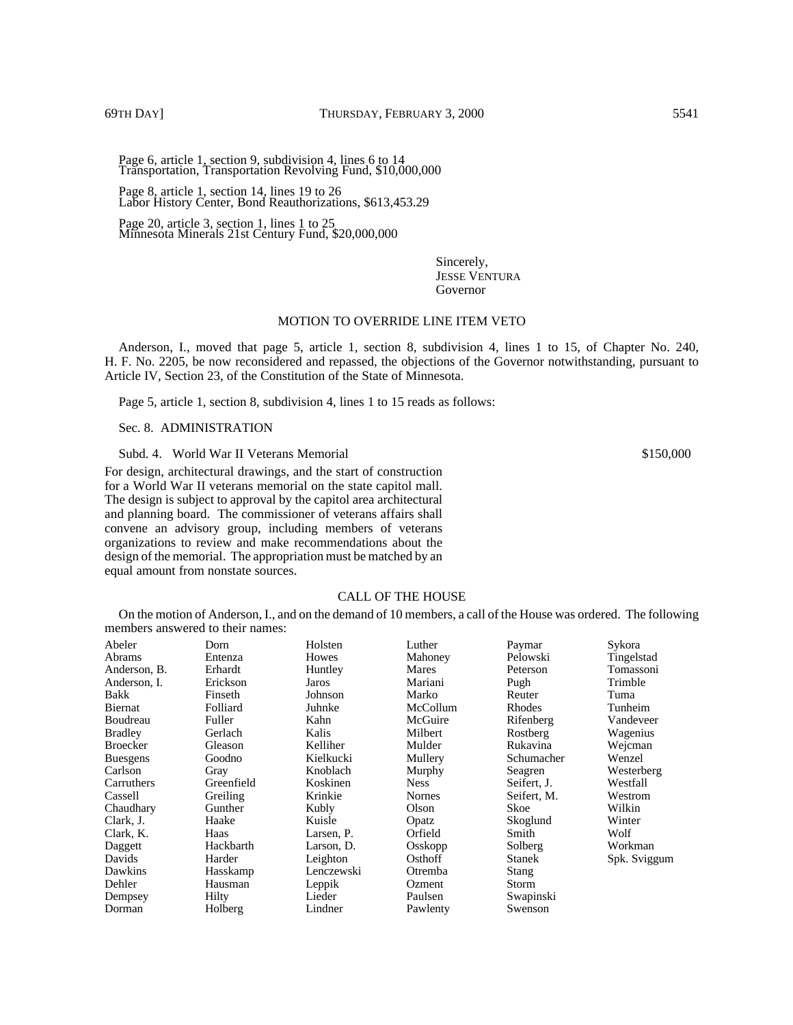Page 6, article 1, section 9, subdivision 4, lines 6 to 14 Transportation, Transportation Revolving Fund, \$10,000,000

Page 8, article 1, section 14, lines 19 to 26 Labor History Center, Bond Reauthorizations, \$613,453.29

Page 20, article 3, section 1, lines  $1$  to 25 Minnesota Minerals 21st Century Fund, \$20,000,000

> Sincerely, JESSE VENTURA Governor

### MOTION TO OVERRIDE LINE ITEM VETO

Anderson, I., moved that page 5, article 1, section 8, subdivision 4, lines 1 to 15, of Chapter No. 240, H. F. No. 2205, be now reconsidered and repassed, the objections of the Governor notwithstanding, pursuant to Article IV, Section 23, of the Constitution of the State of Minnesota.

Page 5, article 1, section 8, subdivision 4, lines 1 to 15 reads as follows:

Sec. 8. ADMINISTRATION

Subd. 4. World War II Veterans Memorial  $$150,000$ 

For design, architectural drawings, and the start of construction for a World War II veterans memorial on the state capitol mall. The design is subject to approval by the capitol area architectural and planning board. The commissioner of veterans affairs shall convene an advisory group, including members of veterans organizations to review and make recommendations about the design of the memorial. The appropriation must be matched by an equal amount from nonstate sources.

### CALL OF THE HOUSE

On the motion of Anderson, I., and on the demand of 10 members, a call of the House was ordered. The following members answered to their names:

| Abeler          | Dorn       | Holsten    | Luther        | Paymar        | Sykora       |
|-----------------|------------|------------|---------------|---------------|--------------|
| <b>Abrams</b>   | Entenza    | Howes      | Mahoney       | Pelowski      | Tingelstad   |
| Anderson, B.    | Erhardt    | Huntley    | Mares         | Peterson      | Tomassoni    |
| Anderson, I.    | Erickson   | Jaros      | Mariani       | Pugh          | Trimble      |
| Bakk            | Finseth    | Johnson    | Marko         | Reuter        | Tuma         |
| Biernat         | Folliard   | Juhnke     | McCollum      | Rhodes        | Tunheim      |
| Boudreau        | Fuller     | Kahn       | McGuire       | Rifenberg     | Vandeveer    |
| <b>Bradley</b>  | Gerlach    | Kalis      | Milbert       | Rostberg      | Wagenius     |
| <b>Broecker</b> | Gleason    | Kelliher   | Mulder        | Rukavina      | Wejcman      |
| <b>Buesgens</b> | Goodno     | Kielkucki  | Mullery       | Schumacher    | Wenzel       |
| Carlson         | Gray       | Knoblach   | Murphy        | Seagren       | Westerberg   |
| Carruthers      | Greenfield | Koskinen   | <b>Ness</b>   | Seifert, J.   | Westfall     |
| Cassell         | Greiling   | Krinkie    | <b>Nornes</b> | Seifert, M.   | Westrom      |
| Chaudhary       | Gunther    | Kubly      | Olson         | Skoe          | Wilkin       |
| Clark, J.       | Haake      | Kuisle     | Opatz         | Skoglund      | Winter       |
| Clark, K.       | Haas       | Larsen, P. | Orfield       | Smith         | Wolf         |
| Daggett         | Hackbarth  | Larson, D. | Osskopp       | Solberg       | Workman      |
| Davids          | Harder     | Leighton   | Osthoff       | <b>Stanek</b> | Spk. Sviggum |
| Dawkins         | Hasskamp   | Lenczewski | Otremba       | Stang         |              |
| Dehler          | Hausman    | Leppik     | Ozment        | Storm         |              |
| Dempsey         | Hilty      | Lieder     | Paulsen       | Swapinski     |              |
| Dorman          | Holberg    | Lindner    | Pawlenty      | Swenson       |              |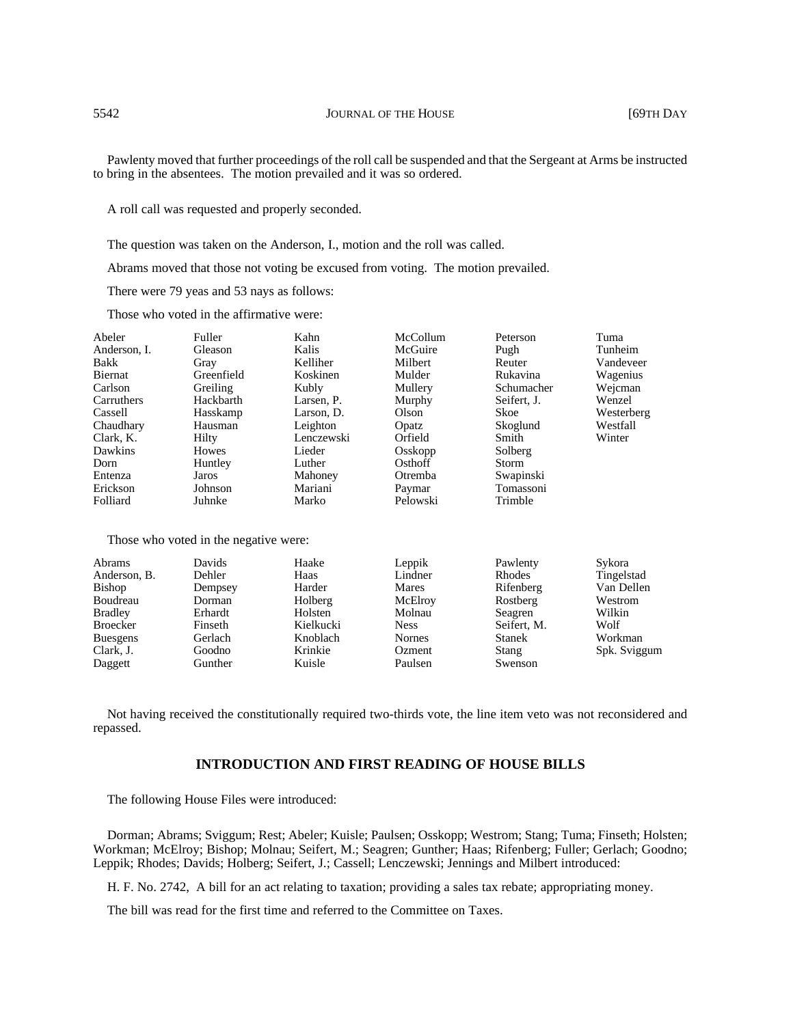Pawlenty moved that further proceedings of the roll call be suspended and that the Sergeant at Arms be instructed to bring in the absentees. The motion prevailed and it was so ordered.

A roll call was requested and properly seconded.

The question was taken on the Anderson, I., motion and the roll was called.

Abrams moved that those not voting be excused from voting. The motion prevailed.

There were 79 yeas and 53 nays as follows:

Those who voted in the affirmative were:

| Abeler       | Fuller     | Kahn       | McCollum | Peterson    | Tuma       |
|--------------|------------|------------|----------|-------------|------------|
| Anderson. I. | Gleason    | Kalis      | McGuire  | Pugh        | Tunheim    |
| Bakk         | Gray       | Kelliher   | Milbert  | Reuter      | Vandeveer  |
| Biernat      | Greenfield | Koskinen   | Mulder   | Rukavina    | Wagenius   |
| Carlson      | Greiling   | Kubly      | Mullery  | Schumacher  | Wejcman    |
| Carruthers   | Hackbarth  | Larsen, P. | Murphy   | Seifert, J. | Wenzel     |
| Cassell      | Hasskamp   | Larson. D. | Olson    | Skoe        | Westerberg |
| Chaudhary    | Hausman    | Leighton   | Opatz    | Skoglund    | Westfall   |
| Clark, K.    | Hilty      | Lenczewski | Orfield  | Smith       | Winter     |
| Dawkins      | Howes      | Lieder     | Osskopp  | Solberg     |            |
| Dorn         | Huntley    | Luther     | Osthoff  | Storm       |            |
| Entenza      | Jaros      | Mahoney    | Otremba  | Swapinski   |            |
| Erickson     | Johnson    | Mariani    | Paymar   | Tomassoni   |            |
| Folliard     | Juhnke     | Marko      | Pelowski | Trimble     |            |

Those who voted in the negative were:

| Abrams          | Davids  | Haake     | Leppik        | Pawlenty      | Sykora       |
|-----------------|---------|-----------|---------------|---------------|--------------|
| Anderson, B.    | Dehler  | Haas      | Lindner       | Rhodes        | Tingelstad   |
| <b>Bishop</b>   | Dempsey | Harder    | Mares         | Rifenberg     | Van Dellen   |
| Boudreau        | Dorman  | Holberg   | McElroy       | Rostberg      | Westrom      |
| <b>Bradley</b>  | Erhardt | Holsten   | Molnau        | Seagren       | Wilkin       |
| <b>Broecker</b> | Finseth | Kielkucki | <b>Ness</b>   | Seifert, M.   | Wolf         |
| <b>Buesgens</b> | Gerlach | Knoblach  | <b>Nornes</b> | <b>Stanek</b> | Workman      |
| Clark, J.       | Goodno  | Krinkie   | Ozment        | Stang         | Spk. Sviggum |
| Daggett         | Gunther | Kuisle    | Paulsen       | Swenson       |              |

Not having received the constitutionally required two-thirds vote, the line item veto was not reconsidered and repassed.

## **INTRODUCTION AND FIRST READING OF HOUSE BILLS**

The following House Files were introduced:

Dorman; Abrams; Sviggum; Rest; Abeler; Kuisle; Paulsen; Osskopp; Westrom; Stang; Tuma; Finseth; Holsten; Workman; McElroy; Bishop; Molnau; Seifert, M.; Seagren; Gunther; Haas; Rifenberg; Fuller; Gerlach; Goodno; Leppik; Rhodes; Davids; Holberg; Seifert, J.; Cassell; Lenczewski; Jennings and Milbert introduced:

H. F. No. 2742, A bill for an act relating to taxation; providing a sales tax rebate; appropriating money.

The bill was read for the first time and referred to the Committee on Taxes.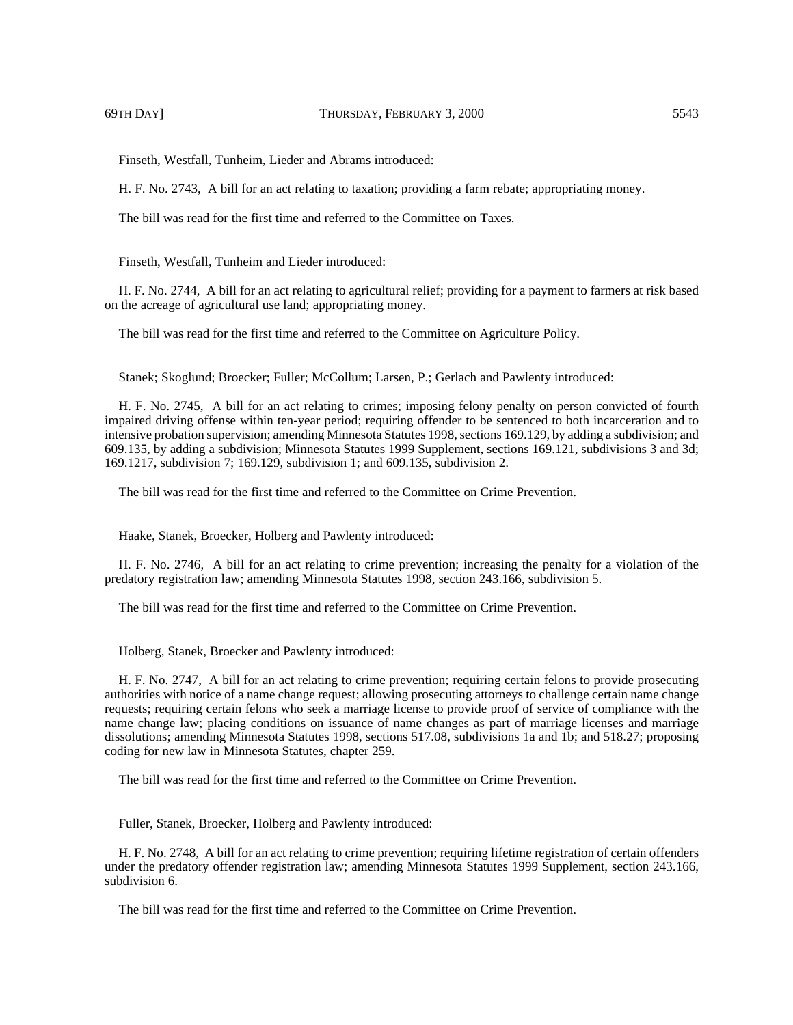Finseth, Westfall, Tunheim, Lieder and Abrams introduced:

H. F. No. 2743, A bill for an act relating to taxation; providing a farm rebate; appropriating money.

The bill was read for the first time and referred to the Committee on Taxes.

Finseth, Westfall, Tunheim and Lieder introduced:

H. F. No. 2744, A bill for an act relating to agricultural relief; providing for a payment to farmers at risk based on the acreage of agricultural use land; appropriating money.

The bill was read for the first time and referred to the Committee on Agriculture Policy.

Stanek; Skoglund; Broecker; Fuller; McCollum; Larsen, P.; Gerlach and Pawlenty introduced:

H. F. No. 2745, A bill for an act relating to crimes; imposing felony penalty on person convicted of fourth impaired driving offense within ten-year period; requiring offender to be sentenced to both incarceration and to intensive probation supervision; amending Minnesota Statutes 1998, sections 169.129, by adding a subdivision; and 609.135, by adding a subdivision; Minnesota Statutes 1999 Supplement, sections 169.121, subdivisions 3 and 3d; 169.1217, subdivision 7; 169.129, subdivision 1; and 609.135, subdivision 2.

The bill was read for the first time and referred to the Committee on Crime Prevention.

Haake, Stanek, Broecker, Holberg and Pawlenty introduced:

H. F. No. 2746, A bill for an act relating to crime prevention; increasing the penalty for a violation of the predatory registration law; amending Minnesota Statutes 1998, section 243.166, subdivision 5.

The bill was read for the first time and referred to the Committee on Crime Prevention.

Holberg, Stanek, Broecker and Pawlenty introduced:

H. F. No. 2747, A bill for an act relating to crime prevention; requiring certain felons to provide prosecuting authorities with notice of a name change request; allowing prosecuting attorneys to challenge certain name change requests; requiring certain felons who seek a marriage license to provide proof of service of compliance with the name change law; placing conditions on issuance of name changes as part of marriage licenses and marriage dissolutions; amending Minnesota Statutes 1998, sections 517.08, subdivisions 1a and 1b; and 518.27; proposing coding for new law in Minnesota Statutes, chapter 259.

The bill was read for the first time and referred to the Committee on Crime Prevention.

Fuller, Stanek, Broecker, Holberg and Pawlenty introduced:

H. F. No. 2748, A bill for an act relating to crime prevention; requiring lifetime registration of certain offenders under the predatory offender registration law; amending Minnesota Statutes 1999 Supplement, section 243.166, subdivision 6.

The bill was read for the first time and referred to the Committee on Crime Prevention.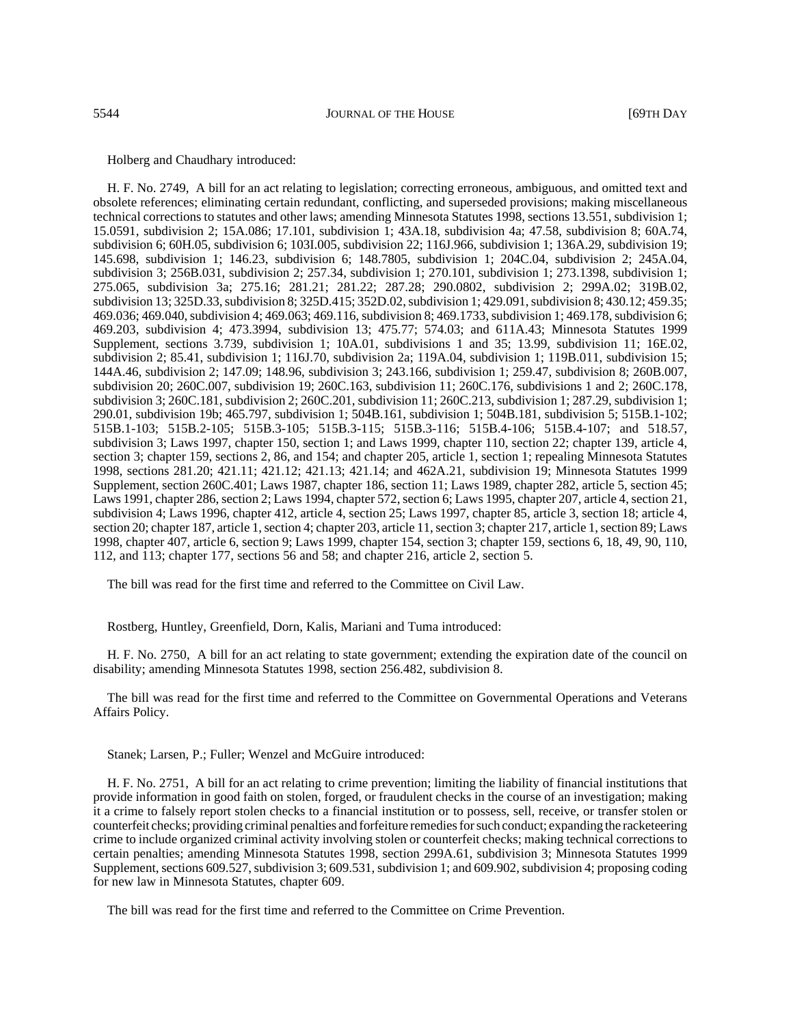Holberg and Chaudhary introduced:

H. F. No. 2749, A bill for an act relating to legislation; correcting erroneous, ambiguous, and omitted text and obsolete references; eliminating certain redundant, conflicting, and superseded provisions; making miscellaneous technical corrections to statutes and other laws; amending Minnesota Statutes 1998, sections 13.551, subdivision 1; 15.0591, subdivision 2; 15A.086; 17.101, subdivision 1; 43A.18, subdivision 4a; 47.58, subdivision 8; 60A.74, subdivision 6; 60H.05, subdivision 6; 103I.005, subdivision 22; 116J.966, subdivision 1; 136A.29, subdivision 19; 145.698, subdivision 1; 146.23, subdivision 6; 148.7805, subdivision 1; 204C.04, subdivision 2; 245A.04, subdivision 3; 256B.031, subdivision 2; 257.34, subdivision 1; 270.101, subdivision 1; 273.1398, subdivision 1; 275.065, subdivision 3a; 275.16; 281.21; 281.22; 287.28; 290.0802, subdivision 2; 299A.02; 319B.02, subdivision 13; 325D.33, subdivision 8; 325D.415; 352D.02, subdivision 1; 429.091, subdivision 8; 430.12; 459.35; 469.036; 469.040, subdivision 4; 469.063; 469.116, subdivision 8; 469.1733, subdivision 1; 469.178, subdivision 6; 469.203, subdivision 4; 473.3994, subdivision 13; 475.77; 574.03; and 611A.43; Minnesota Statutes 1999 Supplement, sections 3.739, subdivision 1; 10A.01, subdivisions 1 and 35; 13.99, subdivision 11; 16E.02, subdivision 2; 85.41, subdivision 1; 116J.70, subdivision 2a; 119A.04, subdivision 1; 119B.011, subdivision 15; 144A.46, subdivision 2; 147.09; 148.96, subdivision 3; 243.166, subdivision 1; 259.47, subdivision 8; 260B.007, subdivision 20; 260C.007, subdivision 19; 260C.163, subdivision 11; 260C.176, subdivisions 1 and 2; 260C.178, subdivision 3; 260C.181, subdivision 2; 260C.201, subdivision 11; 260C.213, subdivision 1; 287.29, subdivision 1; 290.01, subdivision 19b; 465.797, subdivision 1; 504B.161, subdivision 1; 504B.181, subdivision 5; 515B.1-102; 515B.1-103; 515B.2-105; 515B.3-105; 515B.3-115; 515B.3-116; 515B.4-106; 515B.4-107; and 518.57, subdivision 3; Laws 1997, chapter 150, section 1; and Laws 1999, chapter 110, section 22; chapter 139, article 4, section 3; chapter 159, sections 2, 86, and 154; and chapter 205, article 1, section 1; repealing Minnesota Statutes 1998, sections 281.20; 421.11; 421.12; 421.13; 421.14; and 462A.21, subdivision 19; Minnesota Statutes 1999 Supplement, section 260C.401; Laws 1987, chapter 186, section 11; Laws 1989, chapter 282, article 5, section 45; Laws 1991, chapter 286, section 2; Laws 1994, chapter 572, section 6; Laws 1995, chapter 207, article 4, section 21, subdivision 4; Laws 1996, chapter 412, article 4, section 25; Laws 1997, chapter 85, article 3, section 18; article 4, section 20; chapter 187, article 1, section 4; chapter 203, article 11, section 3; chapter 217, article 1, section 89; Laws 1998, chapter 407, article 6, section 9; Laws 1999, chapter 154, section 3; chapter 159, sections 6, 18, 49, 90, 110, 112, and 113; chapter 177, sections 56 and 58; and chapter 216, article 2, section 5.

The bill was read for the first time and referred to the Committee on Civil Law.

Rostberg, Huntley, Greenfield, Dorn, Kalis, Mariani and Tuma introduced:

H. F. No. 2750, A bill for an act relating to state government; extending the expiration date of the council on disability; amending Minnesota Statutes 1998, section 256.482, subdivision 8.

The bill was read for the first time and referred to the Committee on Governmental Operations and Veterans Affairs Policy.

Stanek; Larsen, P.; Fuller; Wenzel and McGuire introduced:

H. F. No. 2751, A bill for an act relating to crime prevention; limiting the liability of financial institutions that provide information in good faith on stolen, forged, or fraudulent checks in the course of an investigation; making it a crime to falsely report stolen checks to a financial institution or to possess, sell, receive, or transfer stolen or counterfeit checks; providing criminal penalties and forfeiture remedies for such conduct; expanding the racketeering crime to include organized criminal activity involving stolen or counterfeit checks; making technical corrections to certain penalties; amending Minnesota Statutes 1998, section 299A.61, subdivision 3; Minnesota Statutes 1999 Supplement, sections 609.527, subdivision 3; 609.531, subdivision 1; and 609.902, subdivision 4; proposing coding for new law in Minnesota Statutes, chapter 609.

The bill was read for the first time and referred to the Committee on Crime Prevention.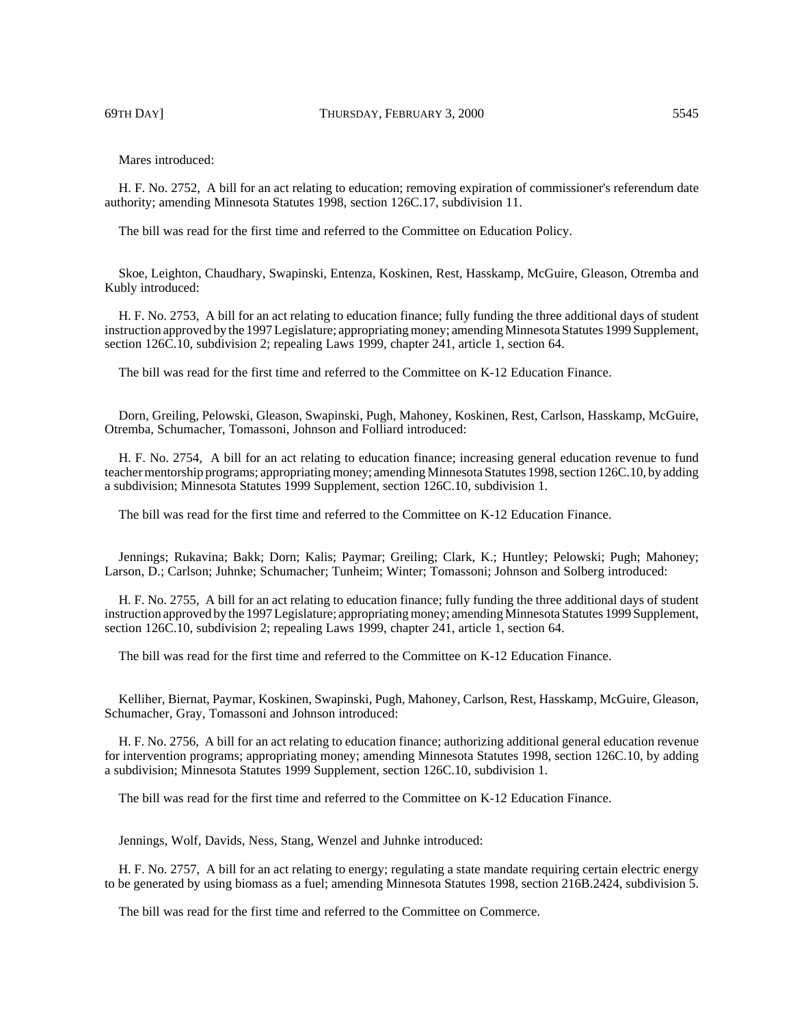Mares introduced:

H. F. No. 2752, A bill for an act relating to education; removing expiration of commissioner's referendum date authority; amending Minnesota Statutes 1998, section 126C.17, subdivision 11.

The bill was read for the first time and referred to the Committee on Education Policy.

Skoe, Leighton, Chaudhary, Swapinski, Entenza, Koskinen, Rest, Hasskamp, McGuire, Gleason, Otremba and Kubly introduced:

H. F. No. 2753, A bill for an act relating to education finance; fully funding the three additional days of student instruction approved by the 1997 Legislature; appropriating money; amending Minnesota Statutes 1999 Supplement, section 126C.10, subdivision 2; repealing Laws 1999, chapter 241, article 1, section 64.

The bill was read for the first time and referred to the Committee on K-12 Education Finance.

Dorn, Greiling, Pelowski, Gleason, Swapinski, Pugh, Mahoney, Koskinen, Rest, Carlson, Hasskamp, McGuire, Otremba, Schumacher, Tomassoni, Johnson and Folliard introduced:

H. F. No. 2754, A bill for an act relating to education finance; increasing general education revenue to fund teacher mentorship programs; appropriating money; amending Minnesota Statutes 1998, section 126C.10, by adding a subdivision; Minnesota Statutes 1999 Supplement, section 126C.10, subdivision 1.

The bill was read for the first time and referred to the Committee on K-12 Education Finance.

Jennings; Rukavina; Bakk; Dorn; Kalis; Paymar; Greiling; Clark, K.; Huntley; Pelowski; Pugh; Mahoney; Larson, D.; Carlson; Juhnke; Schumacher; Tunheim; Winter; Tomassoni; Johnson and Solberg introduced:

H. F. No. 2755, A bill for an act relating to education finance; fully funding the three additional days of student instruction approved by the 1997 Legislature; appropriating money; amending Minnesota Statutes 1999 Supplement, section 126C.10, subdivision 2; repealing Laws 1999, chapter 241, article 1, section 64.

The bill was read for the first time and referred to the Committee on K-12 Education Finance.

Kelliher, Biernat, Paymar, Koskinen, Swapinski, Pugh, Mahoney, Carlson, Rest, Hasskamp, McGuire, Gleason, Schumacher, Gray, Tomassoni and Johnson introduced:

H. F. No. 2756, A bill for an act relating to education finance; authorizing additional general education revenue for intervention programs; appropriating money; amending Minnesota Statutes 1998, section 126C.10, by adding a subdivision; Minnesota Statutes 1999 Supplement, section 126C.10, subdivision 1.

The bill was read for the first time and referred to the Committee on K-12 Education Finance.

Jennings, Wolf, Davids, Ness, Stang, Wenzel and Juhnke introduced:

H. F. No. 2757, A bill for an act relating to energy; regulating a state mandate requiring certain electric energy to be generated by using biomass as a fuel; amending Minnesota Statutes 1998, section 216B.2424, subdivision 5.

The bill was read for the first time and referred to the Committee on Commerce.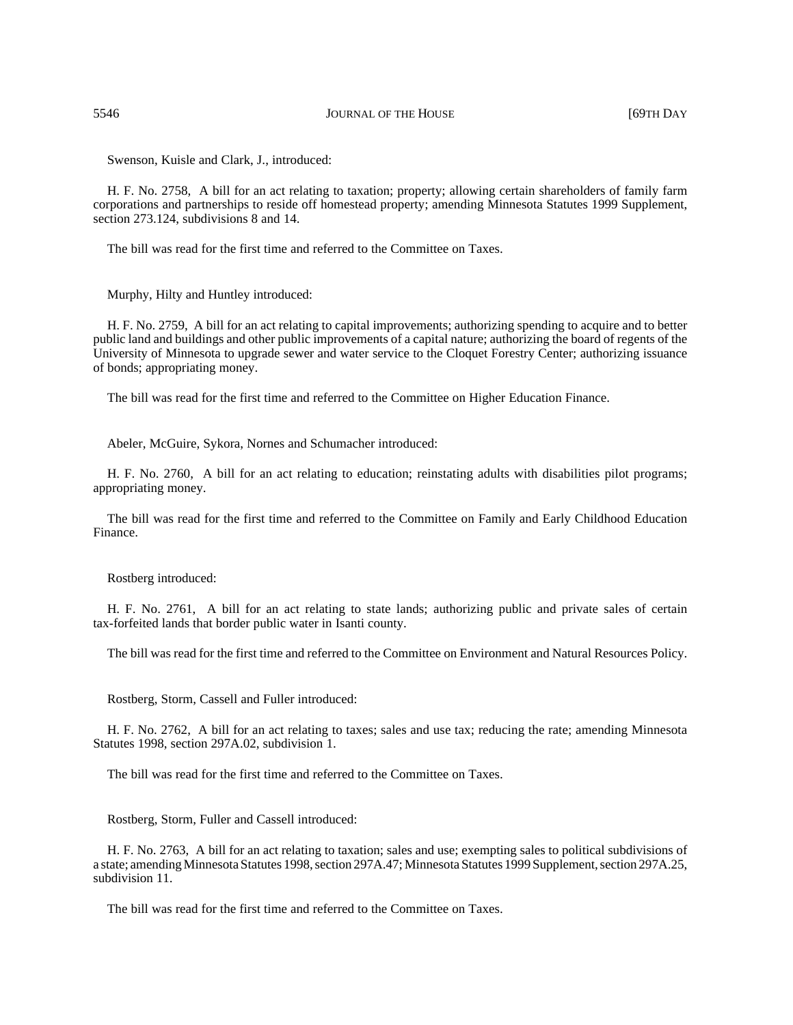Swenson, Kuisle and Clark, J., introduced:

H. F. No. 2758, A bill for an act relating to taxation; property; allowing certain shareholders of family farm corporations and partnerships to reside off homestead property; amending Minnesota Statutes 1999 Supplement, section 273.124, subdivisions 8 and 14.

The bill was read for the first time and referred to the Committee on Taxes.

Murphy, Hilty and Huntley introduced:

H. F. No. 2759, A bill for an act relating to capital improvements; authorizing spending to acquire and to better public land and buildings and other public improvements of a capital nature; authorizing the board of regents of the University of Minnesota to upgrade sewer and water service to the Cloquet Forestry Center; authorizing issuance of bonds; appropriating money.

The bill was read for the first time and referred to the Committee on Higher Education Finance.

Abeler, McGuire, Sykora, Nornes and Schumacher introduced:

H. F. No. 2760, A bill for an act relating to education; reinstating adults with disabilities pilot programs; appropriating money.

The bill was read for the first time and referred to the Committee on Family and Early Childhood Education Finance.

Rostberg introduced:

H. F. No. 2761, A bill for an act relating to state lands; authorizing public and private sales of certain tax-forfeited lands that border public water in Isanti county.

The bill was read for the first time and referred to the Committee on Environment and Natural Resources Policy.

Rostberg, Storm, Cassell and Fuller introduced:

H. F. No. 2762, A bill for an act relating to taxes; sales and use tax; reducing the rate; amending Minnesota Statutes 1998, section 297A.02, subdivision 1.

The bill was read for the first time and referred to the Committee on Taxes.

Rostberg, Storm, Fuller and Cassell introduced:

H. F. No. 2763, A bill for an act relating to taxation; sales and use; exempting sales to political subdivisions of a state; amending Minnesota Statutes 1998, section 297A.47; Minnesota Statutes 1999 Supplement, section 297A.25, subdivision 11.

The bill was read for the first time and referred to the Committee on Taxes.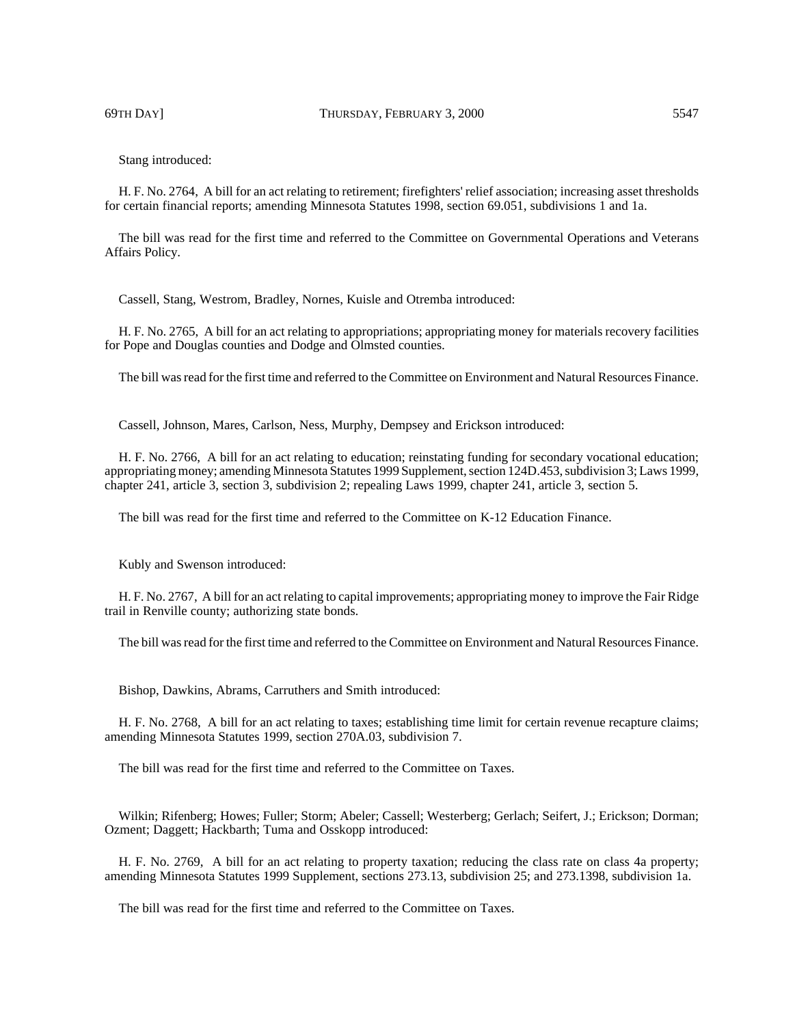69TH DAY] THURSDAY, FEBRUARY 3, 2000 5547

Stang introduced:

H. F. No. 2764, A bill for an act relating to retirement; firefighters' relief association; increasing asset thresholds for certain financial reports; amending Minnesota Statutes 1998, section 69.051, subdivisions 1 and 1a.

The bill was read for the first time and referred to the Committee on Governmental Operations and Veterans Affairs Policy.

Cassell, Stang, Westrom, Bradley, Nornes, Kuisle and Otremba introduced:

H. F. No. 2765, A bill for an act relating to appropriations; appropriating money for materials recovery facilities for Pope and Douglas counties and Dodge and Olmsted counties.

The bill was read for the first time and referred to the Committee on Environment and Natural Resources Finance.

Cassell, Johnson, Mares, Carlson, Ness, Murphy, Dempsey and Erickson introduced:

H. F. No. 2766, A bill for an act relating to education; reinstating funding for secondary vocational education; appropriating money; amending Minnesota Statutes 1999 Supplement, section 124D.453, subdivision 3; Laws 1999, chapter 241, article 3, section 3, subdivision 2; repealing Laws 1999, chapter 241, article 3, section 5.

The bill was read for the first time and referred to the Committee on K-12 Education Finance.

Kubly and Swenson introduced:

H. F. No. 2767, A bill for an act relating to capital improvements; appropriating money to improve the Fair Ridge trail in Renville county; authorizing state bonds.

The bill was read for the first time and referred to the Committee on Environment and Natural Resources Finance.

Bishop, Dawkins, Abrams, Carruthers and Smith introduced:

H. F. No. 2768, A bill for an act relating to taxes; establishing time limit for certain revenue recapture claims; amending Minnesota Statutes 1999, section 270A.03, subdivision 7.

The bill was read for the first time and referred to the Committee on Taxes.

Wilkin; Rifenberg; Howes; Fuller; Storm; Abeler; Cassell; Westerberg; Gerlach; Seifert, J.; Erickson; Dorman; Ozment; Daggett; Hackbarth; Tuma and Osskopp introduced:

H. F. No. 2769, A bill for an act relating to property taxation; reducing the class rate on class 4a property; amending Minnesota Statutes 1999 Supplement, sections 273.13, subdivision 25; and 273.1398, subdivision 1a.

The bill was read for the first time and referred to the Committee on Taxes.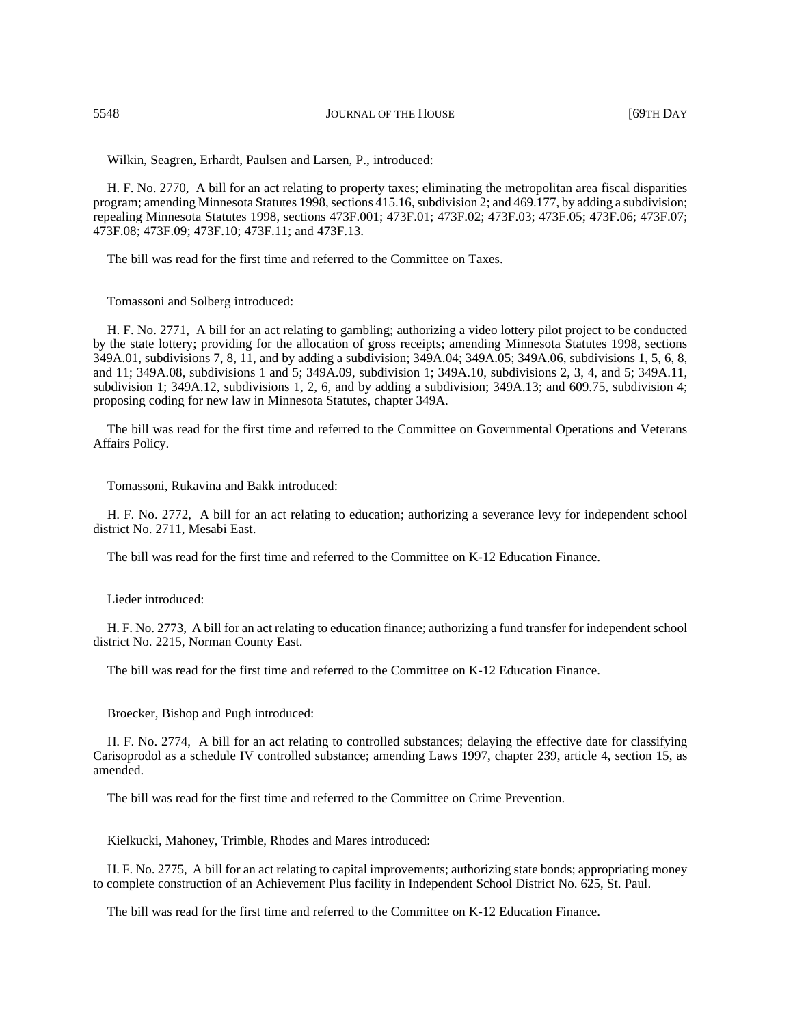5548 JOURNAL OF THE HOUSE [69TH DAY

Wilkin, Seagren, Erhardt, Paulsen and Larsen, P., introduced:

H. F. No. 2770, A bill for an act relating to property taxes; eliminating the metropolitan area fiscal disparities program; amending Minnesota Statutes 1998, sections 415.16, subdivision 2; and 469.177, by adding a subdivision; repealing Minnesota Statutes 1998, sections 473F.001; 473F.01; 473F.02; 473F.03; 473F.05; 473F.06; 473F.07; 473F.08; 473F.09; 473F.10; 473F.11; and 473F.13.

The bill was read for the first time and referred to the Committee on Taxes.

Tomassoni and Solberg introduced:

H. F. No. 2771, A bill for an act relating to gambling; authorizing a video lottery pilot project to be conducted by the state lottery; providing for the allocation of gross receipts; amending Minnesota Statutes 1998, sections 349A.01, subdivisions 7, 8, 11, and by adding a subdivision; 349A.04; 349A.05; 349A.06, subdivisions 1, 5, 6, 8, and 11; 349A.08, subdivisions 1 and 5; 349A.09, subdivision 1; 349A.10, subdivisions 2, 3, 4, and 5; 349A.11, subdivision 1; 349A.12, subdivisions 1, 2, 6, and by adding a subdivision; 349A.13; and 609.75, subdivision 4; proposing coding for new law in Minnesota Statutes, chapter 349A.

The bill was read for the first time and referred to the Committee on Governmental Operations and Veterans Affairs Policy.

Tomassoni, Rukavina and Bakk introduced:

H. F. No. 2772, A bill for an act relating to education; authorizing a severance levy for independent school district No. 2711, Mesabi East.

The bill was read for the first time and referred to the Committee on K-12 Education Finance.

Lieder introduced:

H. F. No. 2773, A bill for an act relating to education finance; authorizing a fund transfer for independent school district No. 2215, Norman County East.

The bill was read for the first time and referred to the Committee on K-12 Education Finance.

Broecker, Bishop and Pugh introduced:

H. F. No. 2774, A bill for an act relating to controlled substances; delaying the effective date for classifying Carisoprodol as a schedule IV controlled substance; amending Laws 1997, chapter 239, article 4, section 15, as amended.

The bill was read for the first time and referred to the Committee on Crime Prevention.

Kielkucki, Mahoney, Trimble, Rhodes and Mares introduced:

H. F. No. 2775, A bill for an act relating to capital improvements; authorizing state bonds; appropriating money to complete construction of an Achievement Plus facility in Independent School District No. 625, St. Paul.

The bill was read for the first time and referred to the Committee on K-12 Education Finance.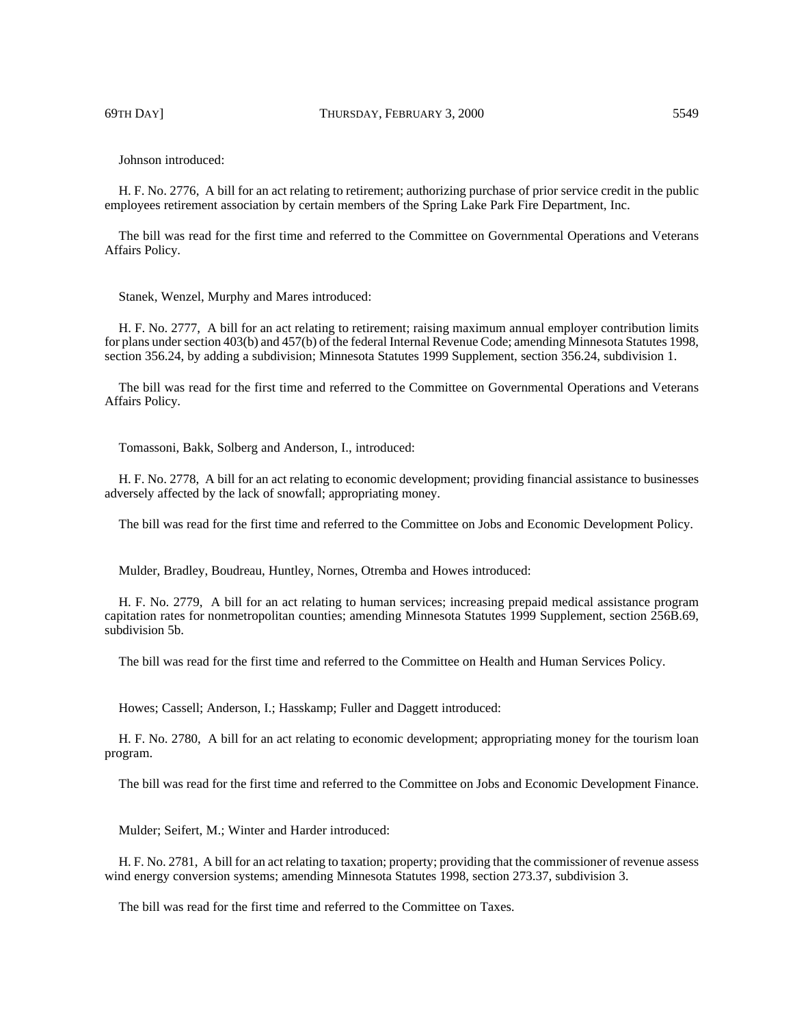69TH DAY] THURSDAY, FEBRUARY 3, 2000 5549

Johnson introduced:

H. F. No. 2776, A bill for an act relating to retirement; authorizing purchase of prior service credit in the public employees retirement association by certain members of the Spring Lake Park Fire Department, Inc.

The bill was read for the first time and referred to the Committee on Governmental Operations and Veterans Affairs Policy.

Stanek, Wenzel, Murphy and Mares introduced:

H. F. No. 2777, A bill for an act relating to retirement; raising maximum annual employer contribution limits for plans under section 403(b) and 457(b) of the federal Internal Revenue Code; amending Minnesota Statutes 1998, section 356.24, by adding a subdivision; Minnesota Statutes 1999 Supplement, section 356.24, subdivision 1.

The bill was read for the first time and referred to the Committee on Governmental Operations and Veterans Affairs Policy.

Tomassoni, Bakk, Solberg and Anderson, I., introduced:

H. F. No. 2778, A bill for an act relating to economic development; providing financial assistance to businesses adversely affected by the lack of snowfall; appropriating money.

The bill was read for the first time and referred to the Committee on Jobs and Economic Development Policy.

Mulder, Bradley, Boudreau, Huntley, Nornes, Otremba and Howes introduced:

H. F. No. 2779, A bill for an act relating to human services; increasing prepaid medical assistance program capitation rates for nonmetropolitan counties; amending Minnesota Statutes 1999 Supplement, section 256B.69, subdivision 5b.

The bill was read for the first time and referred to the Committee on Health and Human Services Policy.

Howes; Cassell; Anderson, I.; Hasskamp; Fuller and Daggett introduced:

H. F. No. 2780, A bill for an act relating to economic development; appropriating money for the tourism loan program.

The bill was read for the first time and referred to the Committee on Jobs and Economic Development Finance.

Mulder; Seifert, M.; Winter and Harder introduced:

H. F. No. 2781, A bill for an act relating to taxation; property; providing that the commissioner of revenue assess wind energy conversion systems; amending Minnesota Statutes 1998, section 273.37, subdivision 3.

The bill was read for the first time and referred to the Committee on Taxes.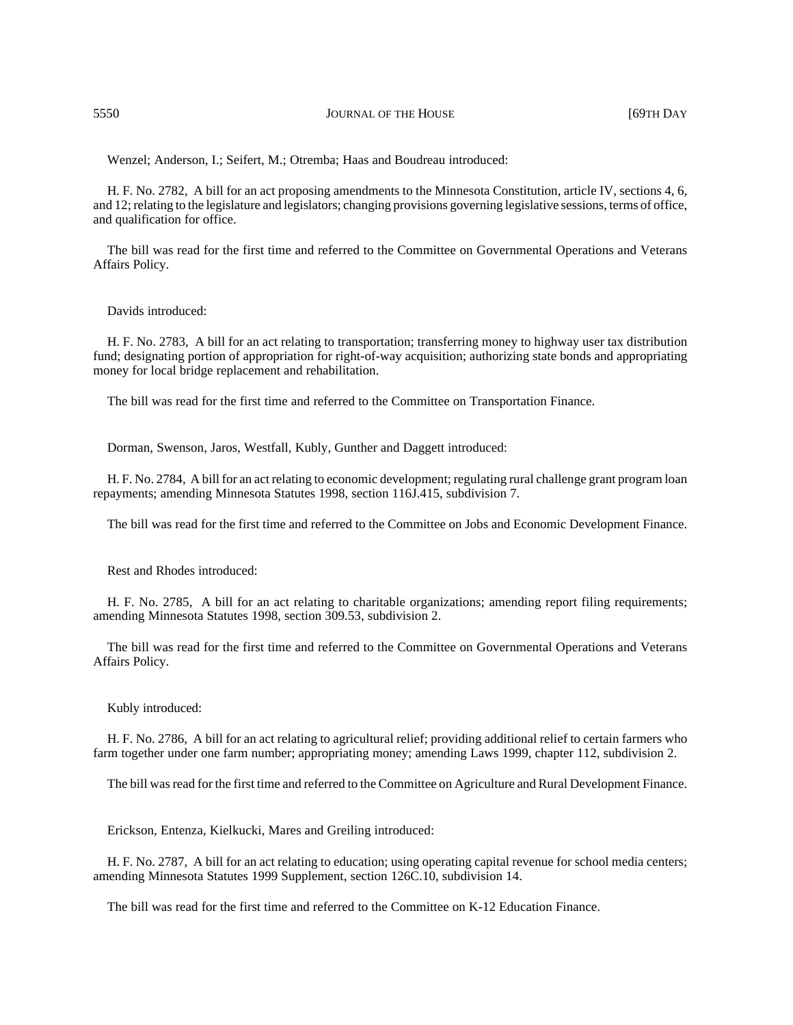Wenzel; Anderson, I.; Seifert, M.; Otremba; Haas and Boudreau introduced:

H. F. No. 2782, A bill for an act proposing amendments to the Minnesota Constitution, article IV, sections 4, 6, and 12; relating to the legislature and legislators; changing provisions governing legislative sessions, terms of office, and qualification for office.

The bill was read for the first time and referred to the Committee on Governmental Operations and Veterans Affairs Policy.

#### Davids introduced:

H. F. No. 2783, A bill for an act relating to transportation; transferring money to highway user tax distribution fund; designating portion of appropriation for right-of-way acquisition; authorizing state bonds and appropriating money for local bridge replacement and rehabilitation.

The bill was read for the first time and referred to the Committee on Transportation Finance.

Dorman, Swenson, Jaros, Westfall, Kubly, Gunther and Daggett introduced:

H. F. No. 2784, A bill for an act relating to economic development; regulating rural challenge grant program loan repayments; amending Minnesota Statutes 1998, section 116J.415, subdivision 7.

The bill was read for the first time and referred to the Committee on Jobs and Economic Development Finance.

Rest and Rhodes introduced:

H. F. No. 2785, A bill for an act relating to charitable organizations; amending report filing requirements; amending Minnesota Statutes 1998, section 309.53, subdivision 2.

The bill was read for the first time and referred to the Committee on Governmental Operations and Veterans Affairs Policy.

Kubly introduced:

H. F. No. 2786, A bill for an act relating to agricultural relief; providing additional relief to certain farmers who farm together under one farm number; appropriating money; amending Laws 1999, chapter 112, subdivision 2.

The bill was read for the first time and referred to the Committee on Agriculture and Rural Development Finance.

Erickson, Entenza, Kielkucki, Mares and Greiling introduced:

H. F. No. 2787, A bill for an act relating to education; using operating capital revenue for school media centers; amending Minnesota Statutes 1999 Supplement, section 126C.10, subdivision 14.

The bill was read for the first time and referred to the Committee on K-12 Education Finance.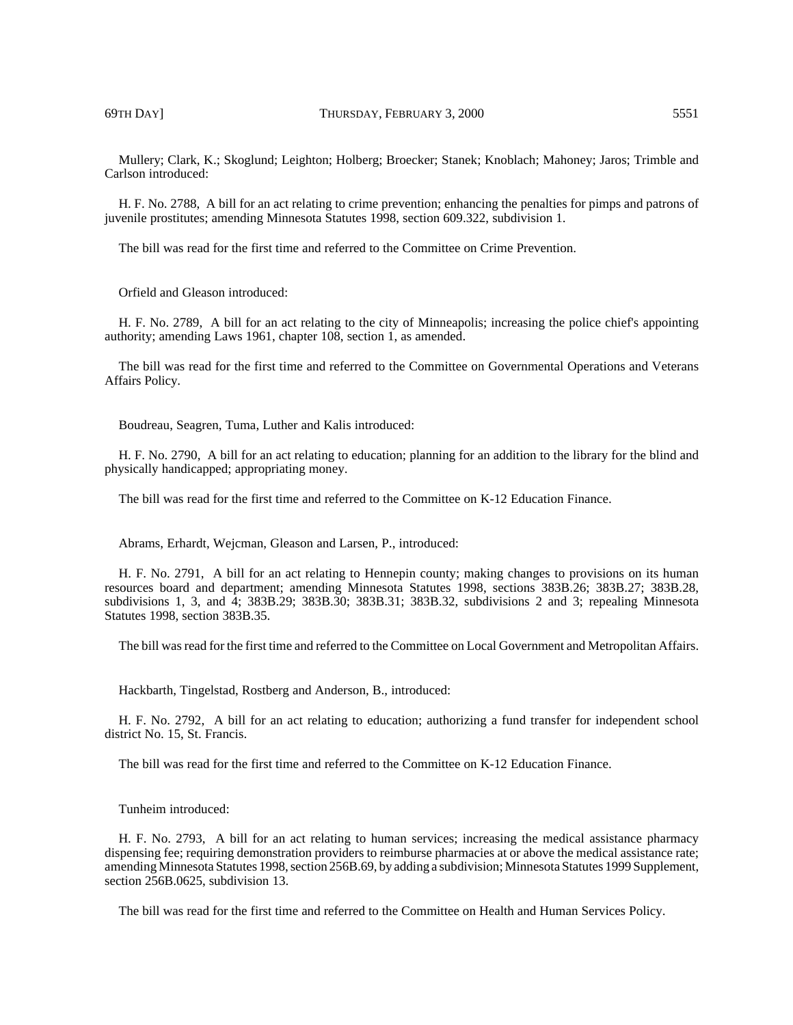Mullery; Clark, K.; Skoglund; Leighton; Holberg; Broecker; Stanek; Knoblach; Mahoney; Jaros; Trimble and Carlson introduced:

H. F. No. 2788, A bill for an act relating to crime prevention; enhancing the penalties for pimps and patrons of juvenile prostitutes; amending Minnesota Statutes 1998, section 609.322, subdivision 1.

The bill was read for the first time and referred to the Committee on Crime Prevention.

Orfield and Gleason introduced:

H. F. No. 2789, A bill for an act relating to the city of Minneapolis; increasing the police chief's appointing authority; amending Laws 1961, chapter 108, section 1, as amended.

The bill was read for the first time and referred to the Committee on Governmental Operations and Veterans Affairs Policy.

Boudreau, Seagren, Tuma, Luther and Kalis introduced:

H. F. No. 2790, A bill for an act relating to education; planning for an addition to the library for the blind and physically handicapped; appropriating money.

The bill was read for the first time and referred to the Committee on K-12 Education Finance.

Abrams, Erhardt, Wejcman, Gleason and Larsen, P., introduced:

H. F. No. 2791, A bill for an act relating to Hennepin county; making changes to provisions on its human resources board and department; amending Minnesota Statutes 1998, sections 383B.26; 383B.27; 383B.28, subdivisions 1, 3, and 4; 383B.29; 383B.30; 383B.31; 383B.32, subdivisions 2 and 3; repealing Minnesota Statutes 1998, section 383B.35.

The bill was read for the first time and referred to the Committee on Local Government and Metropolitan Affairs.

Hackbarth, Tingelstad, Rostberg and Anderson, B., introduced:

H. F. No. 2792, A bill for an act relating to education; authorizing a fund transfer for independent school district No. 15, St. Francis.

The bill was read for the first time and referred to the Committee on K-12 Education Finance.

### Tunheim introduced:

H. F. No. 2793, A bill for an act relating to human services; increasing the medical assistance pharmacy dispensing fee; requiring demonstration providers to reimburse pharmacies at or above the medical assistance rate; amending Minnesota Statutes 1998, section 256B.69, by adding a subdivision; Minnesota Statutes 1999 Supplement, section 256B.0625, subdivision 13.

The bill was read for the first time and referred to the Committee on Health and Human Services Policy.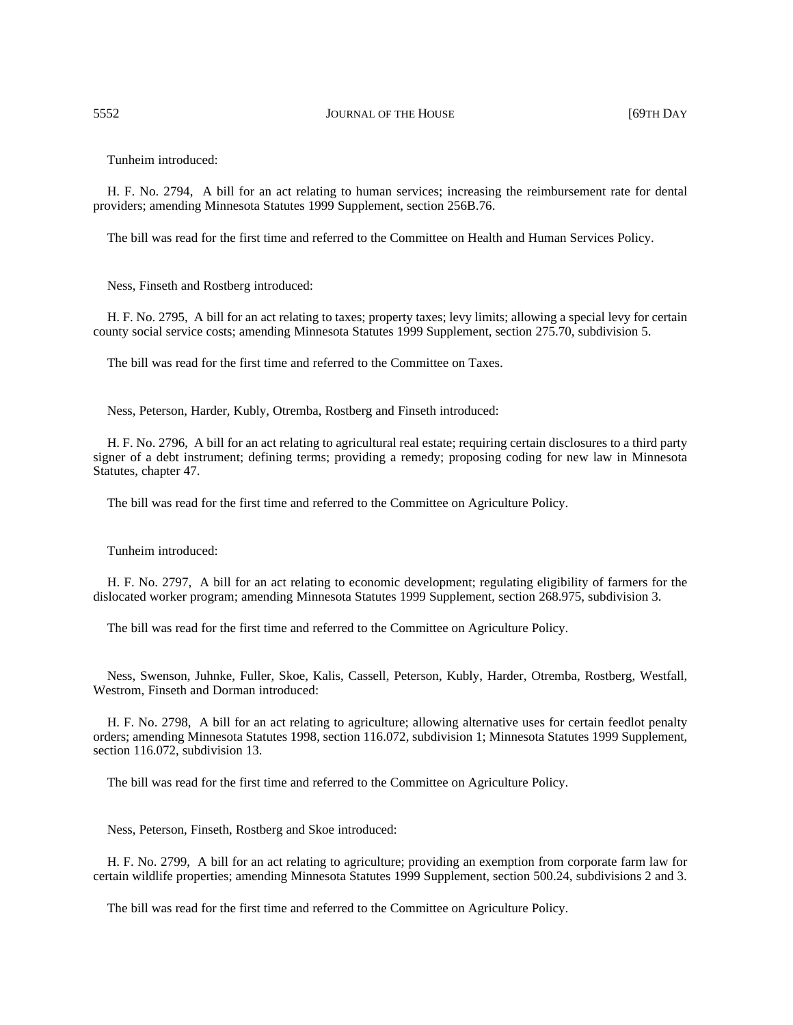Tunheim introduced:

H. F. No. 2794, A bill for an act relating to human services; increasing the reimbursement rate for dental providers; amending Minnesota Statutes 1999 Supplement, section 256B.76.

The bill was read for the first time and referred to the Committee on Health and Human Services Policy.

Ness, Finseth and Rostberg introduced:

H. F. No. 2795, A bill for an act relating to taxes; property taxes; levy limits; allowing a special levy for certain county social service costs; amending Minnesota Statutes 1999 Supplement, section 275.70, subdivision 5.

The bill was read for the first time and referred to the Committee on Taxes.

Ness, Peterson, Harder, Kubly, Otremba, Rostberg and Finseth introduced:

H. F. No. 2796, A bill for an act relating to agricultural real estate; requiring certain disclosures to a third party signer of a debt instrument; defining terms; providing a remedy; proposing coding for new law in Minnesota Statutes, chapter 47.

The bill was read for the first time and referred to the Committee on Agriculture Policy.

Tunheim introduced:

H. F. No. 2797, A bill for an act relating to economic development; regulating eligibility of farmers for the dislocated worker program; amending Minnesota Statutes 1999 Supplement, section 268.975, subdivision 3.

The bill was read for the first time and referred to the Committee on Agriculture Policy.

Ness, Swenson, Juhnke, Fuller, Skoe, Kalis, Cassell, Peterson, Kubly, Harder, Otremba, Rostberg, Westfall, Westrom, Finseth and Dorman introduced:

H. F. No. 2798, A bill for an act relating to agriculture; allowing alternative uses for certain feedlot penalty orders; amending Minnesota Statutes 1998, section 116.072, subdivision 1; Minnesota Statutes 1999 Supplement, section 116.072, subdivision 13.

The bill was read for the first time and referred to the Committee on Agriculture Policy.

Ness, Peterson, Finseth, Rostberg and Skoe introduced:

H. F. No. 2799, A bill for an act relating to agriculture; providing an exemption from corporate farm law for certain wildlife properties; amending Minnesota Statutes 1999 Supplement, section 500.24, subdivisions 2 and 3.

The bill was read for the first time and referred to the Committee on Agriculture Policy.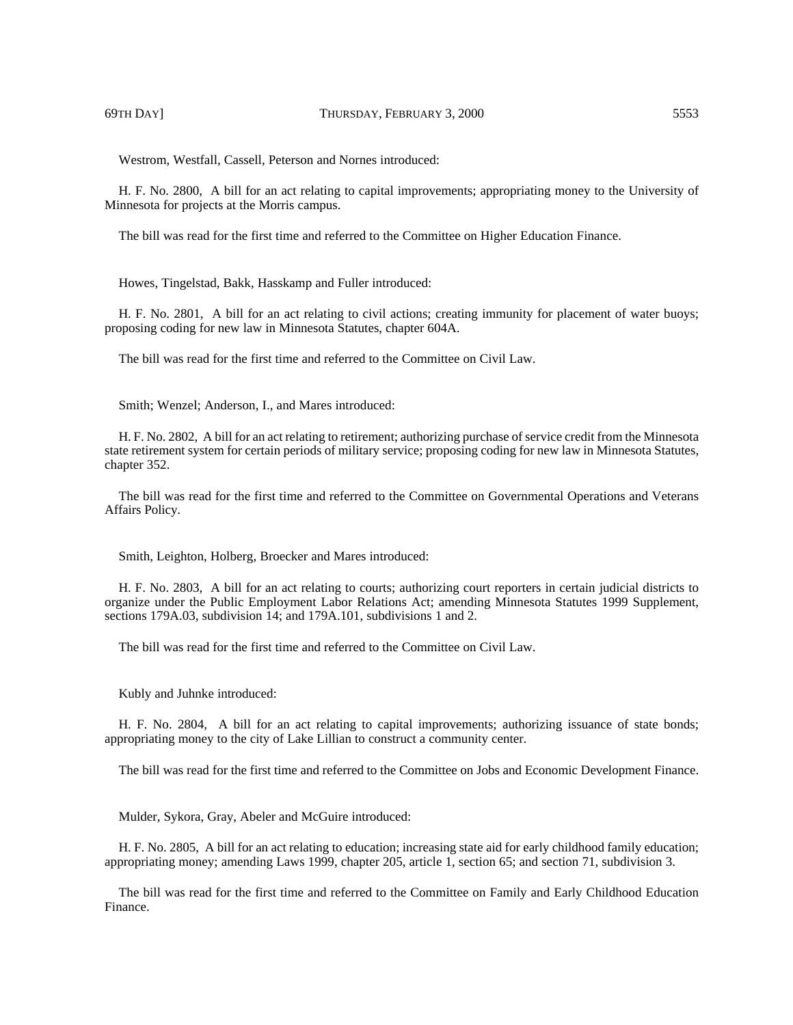Westrom, Westfall, Cassell, Peterson and Nornes introduced:

H. F. No. 2800, A bill for an act relating to capital improvements; appropriating money to the University of Minnesota for projects at the Morris campus.

The bill was read for the first time and referred to the Committee on Higher Education Finance.

Howes, Tingelstad, Bakk, Hasskamp and Fuller introduced:

H. F. No. 2801, A bill for an act relating to civil actions; creating immunity for placement of water buoys; proposing coding for new law in Minnesota Statutes, chapter 604A.

The bill was read for the first time and referred to the Committee on Civil Law.

Smith; Wenzel; Anderson, I., and Mares introduced:

H. F. No. 2802, A bill for an act relating to retirement; authorizing purchase of service credit from the Minnesota state retirement system for certain periods of military service; proposing coding for new law in Minnesota Statutes, chapter 352.

The bill was read for the first time and referred to the Committee on Governmental Operations and Veterans Affairs Policy.

Smith, Leighton, Holberg, Broecker and Mares introduced:

H. F. No. 2803, A bill for an act relating to courts; authorizing court reporters in certain judicial districts to organize under the Public Employment Labor Relations Act; amending Minnesota Statutes 1999 Supplement, sections 179A.03, subdivision 14; and 179A.101, subdivisions 1 and 2.

The bill was read for the first time and referred to the Committee on Civil Law.

Kubly and Juhnke introduced:

H. F. No. 2804, A bill for an act relating to capital improvements; authorizing issuance of state bonds; appropriating money to the city of Lake Lillian to construct a community center.

The bill was read for the first time and referred to the Committee on Jobs and Economic Development Finance.

Mulder, Sykora, Gray, Abeler and McGuire introduced:

H. F. No. 2805, A bill for an act relating to education; increasing state aid for early childhood family education; appropriating money; amending Laws 1999, chapter 205, article 1, section 65; and section 71, subdivision 3.

The bill was read for the first time and referred to the Committee on Family and Early Childhood Education Finance.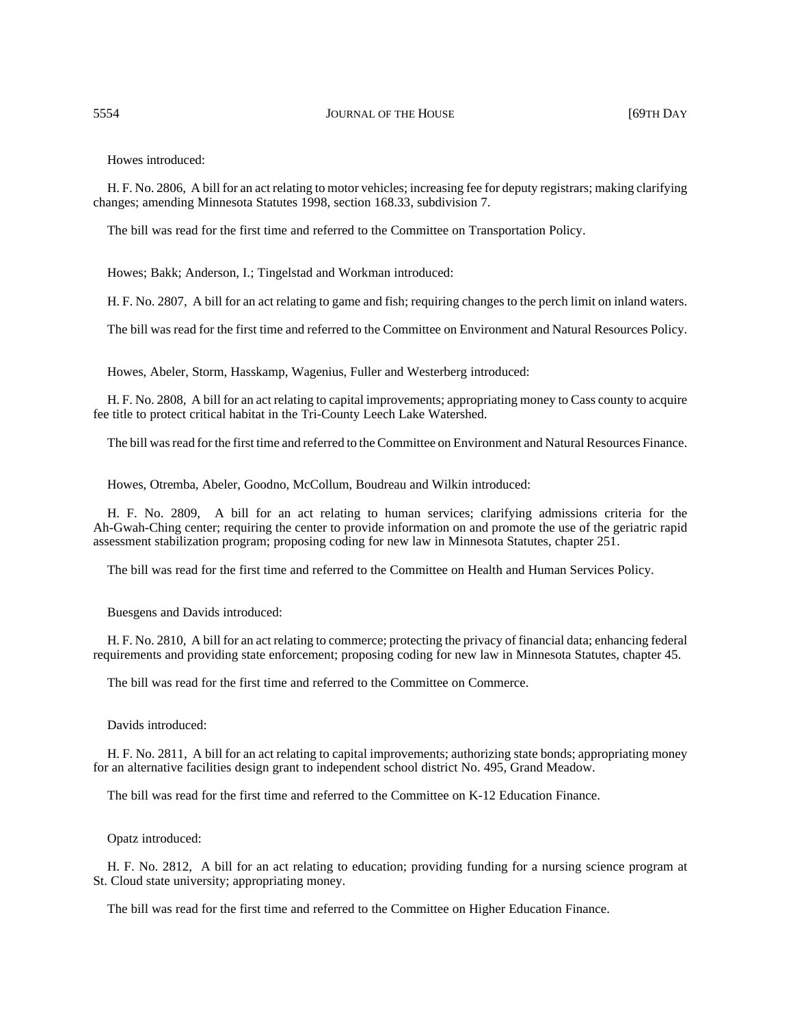Howes introduced:

H. F. No. 2806, A bill for an act relating to motor vehicles; increasing fee for deputy registrars; making clarifying changes; amending Minnesota Statutes 1998, section 168.33, subdivision 7.

The bill was read for the first time and referred to the Committee on Transportation Policy.

Howes; Bakk; Anderson, I.; Tingelstad and Workman introduced:

H. F. No. 2807, A bill for an act relating to game and fish; requiring changes to the perch limit on inland waters.

The bill was read for the first time and referred to the Committee on Environment and Natural Resources Policy.

Howes, Abeler, Storm, Hasskamp, Wagenius, Fuller and Westerberg introduced:

H. F. No. 2808, A bill for an act relating to capital improvements; appropriating money to Cass county to acquire fee title to protect critical habitat in the Tri-County Leech Lake Watershed.

The bill was read for the first time and referred to the Committee on Environment and Natural Resources Finance.

Howes, Otremba, Abeler, Goodno, McCollum, Boudreau and Wilkin introduced:

H. F. No. 2809, A bill for an act relating to human services; clarifying admissions criteria for the Ah-Gwah-Ching center; requiring the center to provide information on and promote the use of the geriatric rapid assessment stabilization program; proposing coding for new law in Minnesota Statutes, chapter 251.

The bill was read for the first time and referred to the Committee on Health and Human Services Policy.

Buesgens and Davids introduced:

H. F. No. 2810, A bill for an act relating to commerce; protecting the privacy of financial data; enhancing federal requirements and providing state enforcement; proposing coding for new law in Minnesota Statutes, chapter 45.

The bill was read for the first time and referred to the Committee on Commerce.

Davids introduced:

H. F. No. 2811, A bill for an act relating to capital improvements; authorizing state bonds; appropriating money for an alternative facilities design grant to independent school district No. 495, Grand Meadow.

The bill was read for the first time and referred to the Committee on K-12 Education Finance.

Opatz introduced:

H. F. No. 2812, A bill for an act relating to education; providing funding for a nursing science program at St. Cloud state university; appropriating money.

The bill was read for the first time and referred to the Committee on Higher Education Finance.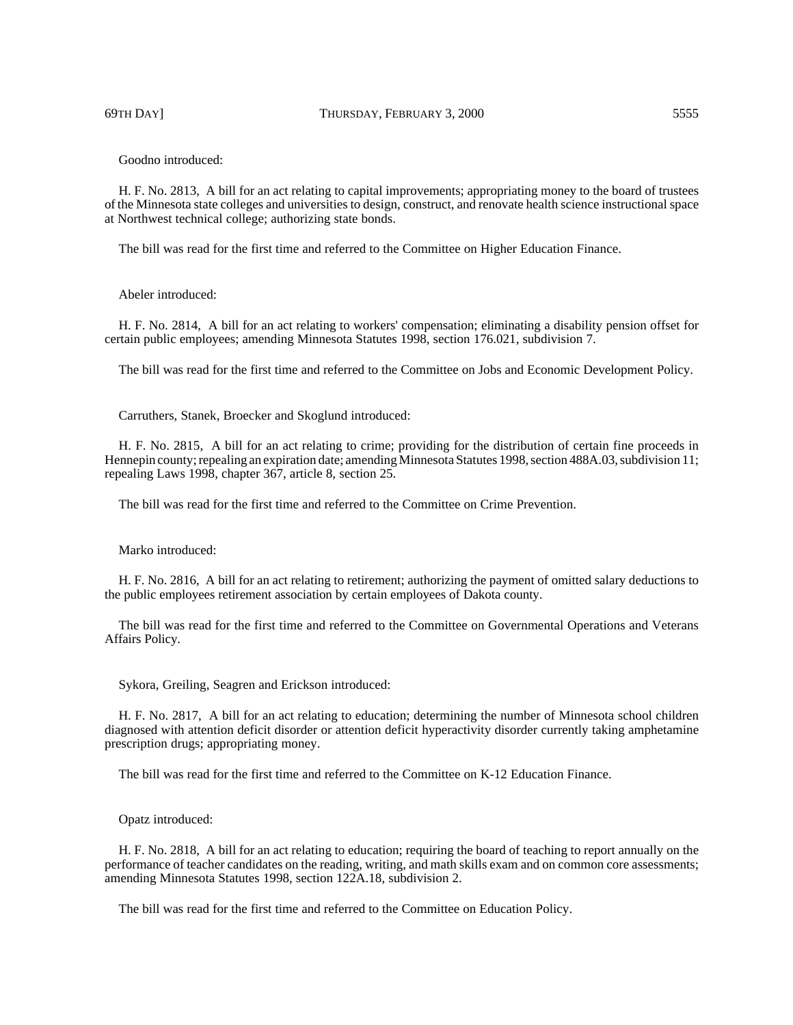Goodno introduced:

H. F. No. 2813, A bill for an act relating to capital improvements; appropriating money to the board of trustees of the Minnesota state colleges and universities to design, construct, and renovate health science instructional space at Northwest technical college; authorizing state bonds.

The bill was read for the first time and referred to the Committee on Higher Education Finance.

### Abeler introduced:

H. F. No. 2814, A bill for an act relating to workers' compensation; eliminating a disability pension offset for certain public employees; amending Minnesota Statutes 1998, section 176.021, subdivision 7.

The bill was read for the first time and referred to the Committee on Jobs and Economic Development Policy.

Carruthers, Stanek, Broecker and Skoglund introduced:

H. F. No. 2815, A bill for an act relating to crime; providing for the distribution of certain fine proceeds in Hennepin county; repealing an expiration date; amending Minnesota Statutes 1998, section 488A.03, subdivision 11; repealing Laws 1998, chapter 367, article 8, section 25.

The bill was read for the first time and referred to the Committee on Crime Prevention.

Marko introduced:

H. F. No. 2816, A bill for an act relating to retirement; authorizing the payment of omitted salary deductions to the public employees retirement association by certain employees of Dakota county.

The bill was read for the first time and referred to the Committee on Governmental Operations and Veterans Affairs Policy.

Sykora, Greiling, Seagren and Erickson introduced:

H. F. No. 2817, A bill for an act relating to education; determining the number of Minnesota school children diagnosed with attention deficit disorder or attention deficit hyperactivity disorder currently taking amphetamine prescription drugs; appropriating money.

The bill was read for the first time and referred to the Committee on K-12 Education Finance.

Opatz introduced:

H. F. No. 2818, A bill for an act relating to education; requiring the board of teaching to report annually on the performance of teacher candidates on the reading, writing, and math skills exam and on common core assessments; amending Minnesota Statutes 1998, section 122A.18, subdivision 2.

The bill was read for the first time and referred to the Committee on Education Policy.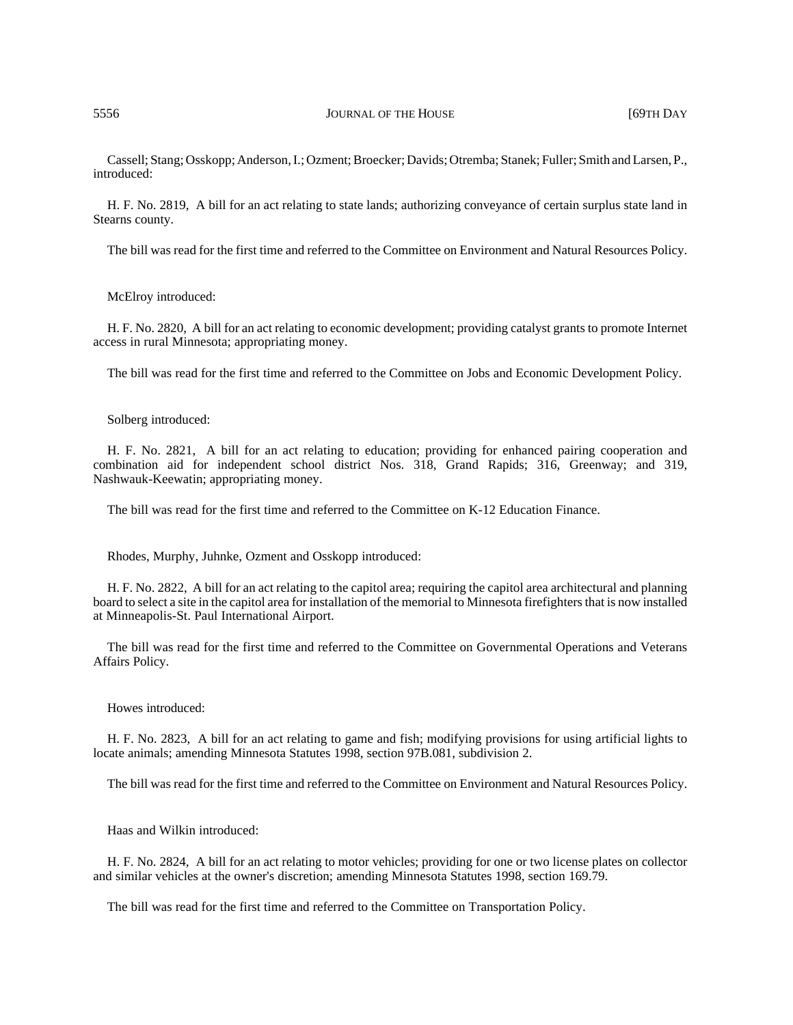Cassell; Stang; Osskopp; Anderson, I.; Ozment; Broecker; Davids; Otremba; Stanek; Fuller; Smith and Larsen, P., introduced:

H. F. No. 2819, A bill for an act relating to state lands; authorizing conveyance of certain surplus state land in Stearns county.

The bill was read for the first time and referred to the Committee on Environment and Natural Resources Policy.

McElroy introduced:

H. F. No. 2820, A bill for an act relating to economic development; providing catalyst grants to promote Internet access in rural Minnesota; appropriating money.

The bill was read for the first time and referred to the Committee on Jobs and Economic Development Policy.

Solberg introduced:

H. F. No. 2821, A bill for an act relating to education; providing for enhanced pairing cooperation and combination aid for independent school district Nos. 318, Grand Rapids; 316, Greenway; and 319, Nashwauk-Keewatin; appropriating money.

The bill was read for the first time and referred to the Committee on K-12 Education Finance.

Rhodes, Murphy, Juhnke, Ozment and Osskopp introduced:

H. F. No. 2822, A bill for an act relating to the capitol area; requiring the capitol area architectural and planning board to select a site in the capitol area for installation of the memorial to Minnesota firefighters that is now installed at Minneapolis-St. Paul International Airport.

The bill was read for the first time and referred to the Committee on Governmental Operations and Veterans Affairs Policy.

Howes introduced:

H. F. No. 2823, A bill for an act relating to game and fish; modifying provisions for using artificial lights to locate animals; amending Minnesota Statutes 1998, section 97B.081, subdivision 2.

The bill was read for the first time and referred to the Committee on Environment and Natural Resources Policy.

Haas and Wilkin introduced:

H. F. No. 2824, A bill for an act relating to motor vehicles; providing for one or two license plates on collector and similar vehicles at the owner's discretion; amending Minnesota Statutes 1998, section 169.79.

The bill was read for the first time and referred to the Committee on Transportation Policy.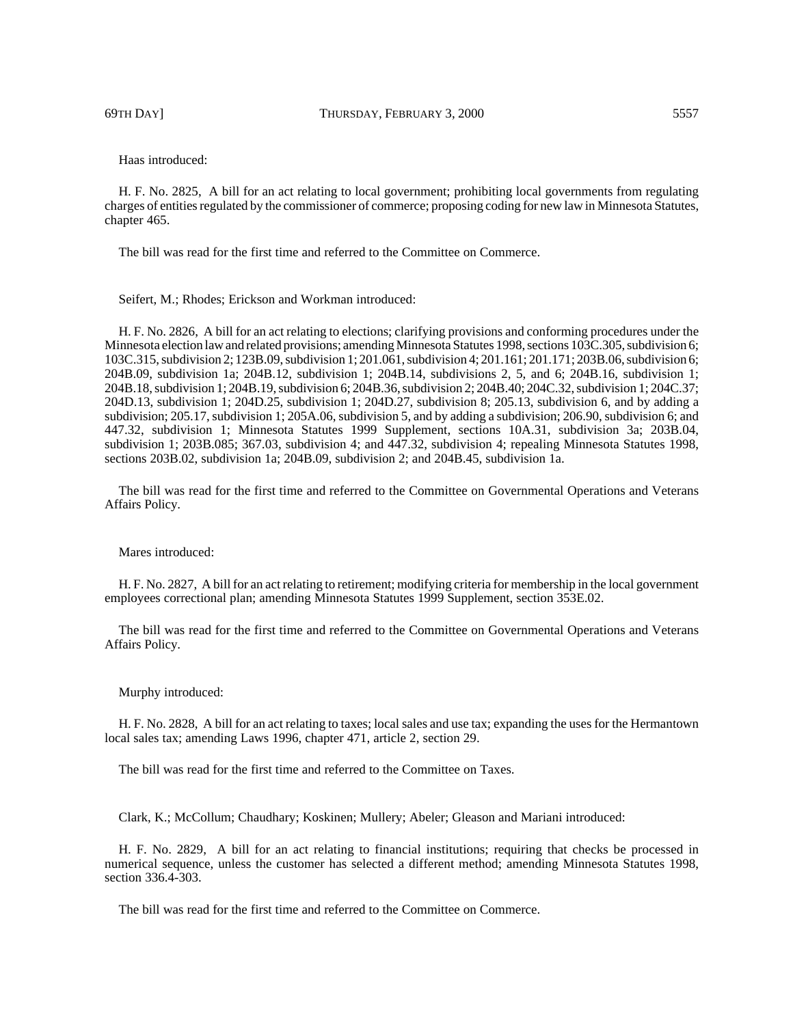69TH DAY] THURSDAY, FEBRUARY 3, 2000 5557

Haas introduced:

H. F. No. 2825, A bill for an act relating to local government; prohibiting local governments from regulating charges of entities regulated by the commissioner of commerce; proposing coding for new law in Minnesota Statutes, chapter 465.

The bill was read for the first time and referred to the Committee on Commerce.

Seifert, M.; Rhodes; Erickson and Workman introduced:

H. F. No. 2826, A bill for an act relating to elections; clarifying provisions and conforming procedures under the Minnesota election law and related provisions; amending Minnesota Statutes 1998, sections 103C.305, subdivision 6; 103C.315, subdivision 2; 123B.09, subdivision 1; 201.061, subdivision 4; 201.161; 201.171; 203B.06, subdivision 6; 204B.09, subdivision 1a; 204B.12, subdivision 1; 204B.14, subdivisions 2, 5, and 6; 204B.16, subdivision 1; 204B.18, subdivision 1; 204B.19, subdivision 6; 204B.36, subdivision 2; 204B.40; 204C.32, subdivision 1; 204C.37; 204D.13, subdivision 1; 204D.25, subdivision 1; 204D.27, subdivision 8; 205.13, subdivision 6, and by adding a subdivision; 205.17, subdivision 1; 205A.06, subdivision 5, and by adding a subdivision; 206.90, subdivision 6; and 447.32, subdivision 1; Minnesota Statutes 1999 Supplement, sections 10A.31, subdivision 3a; 203B.04, subdivision 1; 203B.085; 367.03, subdivision 4; and 447.32, subdivision 4; repealing Minnesota Statutes 1998, sections 203B.02, subdivision 1a; 204B.09, subdivision 2; and 204B.45, subdivision 1a.

The bill was read for the first time and referred to the Committee on Governmental Operations and Veterans Affairs Policy.

#### Mares introduced<sup>.</sup>

H. F. No. 2827, A bill for an act relating to retirement; modifying criteria for membership in the local government employees correctional plan; amending Minnesota Statutes 1999 Supplement, section 353E.02.

The bill was read for the first time and referred to the Committee on Governmental Operations and Veterans Affairs Policy.

#### Murphy introduced:

H. F. No. 2828, A bill for an act relating to taxes; local sales and use tax; expanding the uses for the Hermantown local sales tax; amending Laws 1996, chapter 471, article 2, section 29.

The bill was read for the first time and referred to the Committee on Taxes.

Clark, K.; McCollum; Chaudhary; Koskinen; Mullery; Abeler; Gleason and Mariani introduced:

H. F. No. 2829, A bill for an act relating to financial institutions; requiring that checks be processed in numerical sequence, unless the customer has selected a different method; amending Minnesota Statutes 1998, section 336.4-303.

The bill was read for the first time and referred to the Committee on Commerce.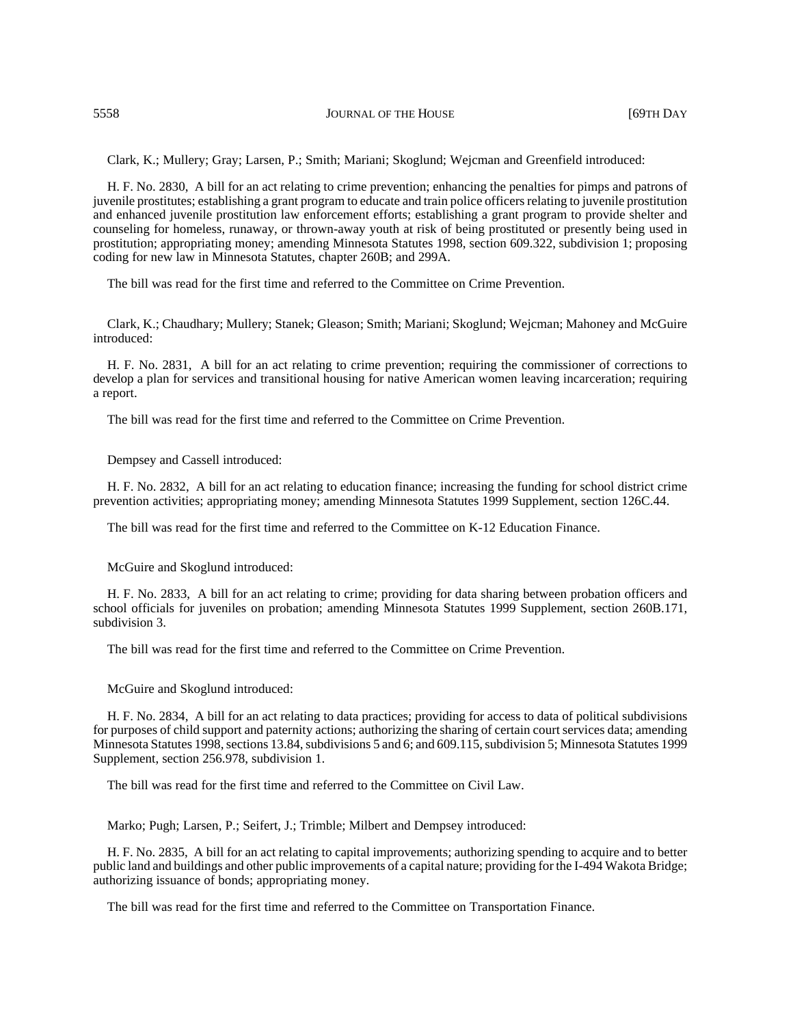Clark, K.; Mullery; Gray; Larsen, P.; Smith; Mariani; Skoglund; Wejcman and Greenfield introduced:

H. F. No. 2830, A bill for an act relating to crime prevention; enhancing the penalties for pimps and patrons of juvenile prostitutes; establishing a grant program to educate and train police officers relating to juvenile prostitution and enhanced juvenile prostitution law enforcement efforts; establishing a grant program to provide shelter and counseling for homeless, runaway, or thrown-away youth at risk of being prostituted or presently being used in prostitution; appropriating money; amending Minnesota Statutes 1998, section 609.322, subdivision 1; proposing coding for new law in Minnesota Statutes, chapter 260B; and 299A.

The bill was read for the first time and referred to the Committee on Crime Prevention.

Clark, K.; Chaudhary; Mullery; Stanek; Gleason; Smith; Mariani; Skoglund; Wejcman; Mahoney and McGuire introduced:

H. F. No. 2831, A bill for an act relating to crime prevention; requiring the commissioner of corrections to develop a plan for services and transitional housing for native American women leaving incarceration; requiring a report.

The bill was read for the first time and referred to the Committee on Crime Prevention.

Dempsey and Cassell introduced:

H. F. No. 2832, A bill for an act relating to education finance; increasing the funding for school district crime prevention activities; appropriating money; amending Minnesota Statutes 1999 Supplement, section 126C.44.

The bill was read for the first time and referred to the Committee on K-12 Education Finance.

McGuire and Skoglund introduced:

H. F. No. 2833, A bill for an act relating to crime; providing for data sharing between probation officers and school officials for juveniles on probation; amending Minnesota Statutes 1999 Supplement, section 260B.171, subdivision 3.

The bill was read for the first time and referred to the Committee on Crime Prevention.

McGuire and Skoglund introduced:

H. F. No. 2834, A bill for an act relating to data practices; providing for access to data of political subdivisions for purposes of child support and paternity actions; authorizing the sharing of certain court services data; amending Minnesota Statutes 1998, sections 13.84, subdivisions 5 and 6; and 609.115, subdivision 5; Minnesota Statutes 1999 Supplement, section 256.978, subdivision 1.

The bill was read for the first time and referred to the Committee on Civil Law.

Marko; Pugh; Larsen, P.; Seifert, J.; Trimble; Milbert and Dempsey introduced:

H. F. No. 2835, A bill for an act relating to capital improvements; authorizing spending to acquire and to better public land and buildings and other public improvements of a capital nature; providing for the I-494 Wakota Bridge; authorizing issuance of bonds; appropriating money.

The bill was read for the first time and referred to the Committee on Transportation Finance.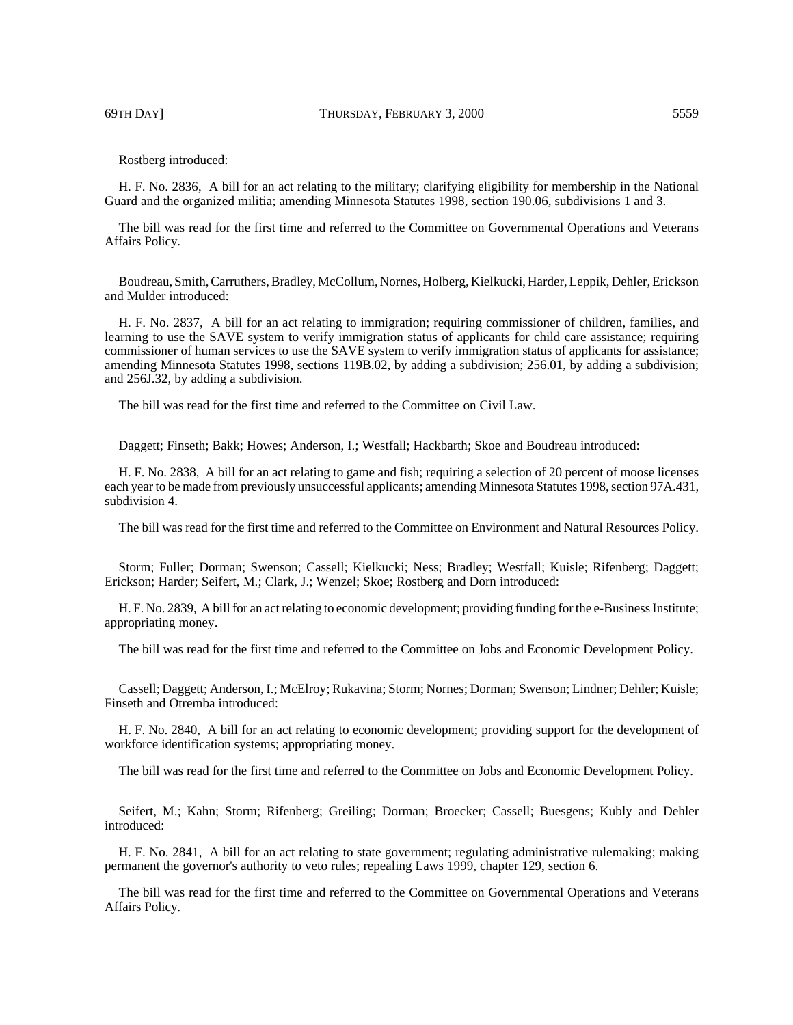69TH DAY] THURSDAY, FEBRUARY 3, 2000 5559

Rostberg introduced:

H. F. No. 2836, A bill for an act relating to the military; clarifying eligibility for membership in the National Guard and the organized militia; amending Minnesota Statutes 1998, section 190.06, subdivisions 1 and 3.

The bill was read for the first time and referred to the Committee on Governmental Operations and Veterans Affairs Policy.

Boudreau, Smith, Carruthers, Bradley, McCollum, Nornes, Holberg, Kielkucki, Harder, Leppik, Dehler, Erickson and Mulder introduced:

H. F. No. 2837, A bill for an act relating to immigration; requiring commissioner of children, families, and learning to use the SAVE system to verify immigration status of applicants for child care assistance; requiring commissioner of human services to use the SAVE system to verify immigration status of applicants for assistance; amending Minnesota Statutes 1998, sections 119B.02, by adding a subdivision; 256.01, by adding a subdivision; and 256J.32, by adding a subdivision.

The bill was read for the first time and referred to the Committee on Civil Law.

Daggett; Finseth; Bakk; Howes; Anderson, I.; Westfall; Hackbarth; Skoe and Boudreau introduced:

H. F. No. 2838, A bill for an act relating to game and fish; requiring a selection of 20 percent of moose licenses each year to be made from previously unsuccessful applicants; amending Minnesota Statutes 1998, section 97A.431, subdivision 4.

The bill was read for the first time and referred to the Committee on Environment and Natural Resources Policy.

Storm; Fuller; Dorman; Swenson; Cassell; Kielkucki; Ness; Bradley; Westfall; Kuisle; Rifenberg; Daggett; Erickson; Harder; Seifert, M.; Clark, J.; Wenzel; Skoe; Rostberg and Dorn introduced:

H. F. No. 2839, A bill for an act relating to economic development; providing funding for the e-Business Institute; appropriating money.

The bill was read for the first time and referred to the Committee on Jobs and Economic Development Policy.

Cassell; Daggett; Anderson, I.; McElroy; Rukavina; Storm; Nornes; Dorman; Swenson; Lindner; Dehler; Kuisle; Finseth and Otremba introduced:

H. F. No. 2840, A bill for an act relating to economic development; providing support for the development of workforce identification systems; appropriating money.

The bill was read for the first time and referred to the Committee on Jobs and Economic Development Policy.

Seifert, M.; Kahn; Storm; Rifenberg; Greiling; Dorman; Broecker; Cassell; Buesgens; Kubly and Dehler introduced:

H. F. No. 2841, A bill for an act relating to state government; regulating administrative rulemaking; making permanent the governor's authority to veto rules; repealing Laws 1999, chapter 129, section 6.

The bill was read for the first time and referred to the Committee on Governmental Operations and Veterans Affairs Policy.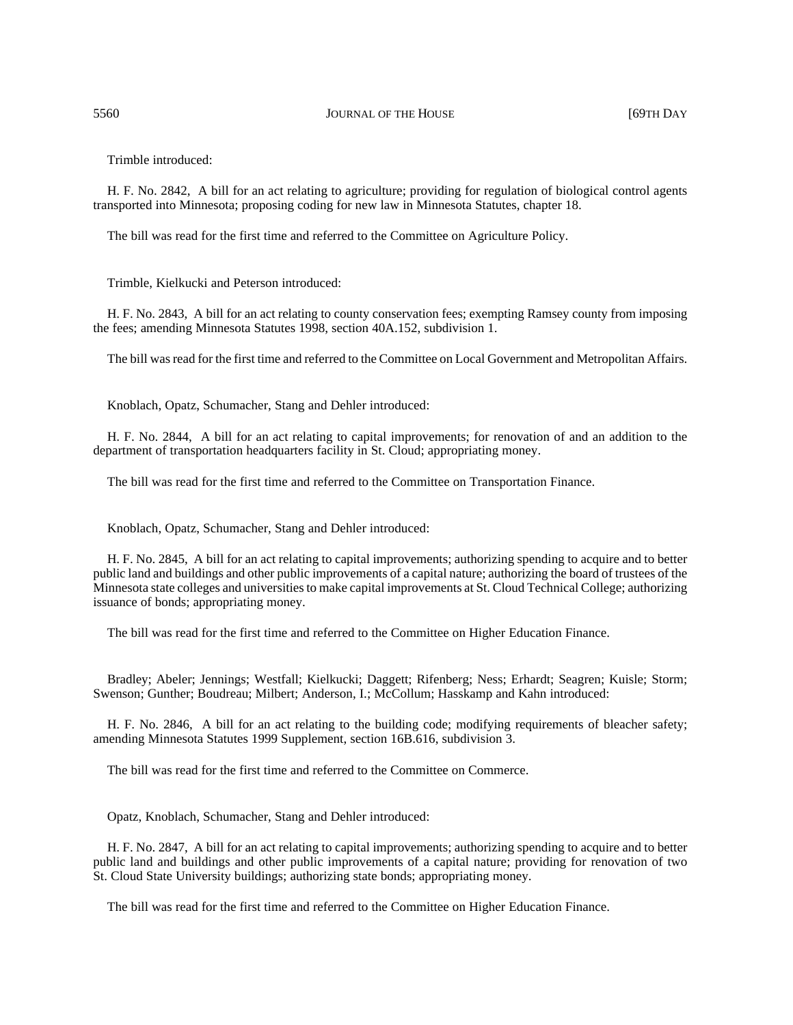Trimble introduced:

H. F. No. 2842, A bill for an act relating to agriculture; providing for regulation of biological control agents transported into Minnesota; proposing coding for new law in Minnesota Statutes, chapter 18.

The bill was read for the first time and referred to the Committee on Agriculture Policy.

Trimble, Kielkucki and Peterson introduced:

H. F. No. 2843, A bill for an act relating to county conservation fees; exempting Ramsey county from imposing the fees; amending Minnesota Statutes 1998, section 40A.152, subdivision 1.

The bill was read for the first time and referred to the Committee on Local Government and Metropolitan Affairs.

Knoblach, Opatz, Schumacher, Stang and Dehler introduced:

H. F. No. 2844, A bill for an act relating to capital improvements; for renovation of and an addition to the department of transportation headquarters facility in St. Cloud; appropriating money.

The bill was read for the first time and referred to the Committee on Transportation Finance.

Knoblach, Opatz, Schumacher, Stang and Dehler introduced:

H. F. No. 2845, A bill for an act relating to capital improvements; authorizing spending to acquire and to better public land and buildings and other public improvements of a capital nature; authorizing the board of trustees of the Minnesota state colleges and universities to make capital improvements at St. Cloud Technical College; authorizing issuance of bonds; appropriating money.

The bill was read for the first time and referred to the Committee on Higher Education Finance.

Bradley; Abeler; Jennings; Westfall; Kielkucki; Daggett; Rifenberg; Ness; Erhardt; Seagren; Kuisle; Storm; Swenson; Gunther; Boudreau; Milbert; Anderson, I.; McCollum; Hasskamp and Kahn introduced:

H. F. No. 2846, A bill for an act relating to the building code; modifying requirements of bleacher safety; amending Minnesota Statutes 1999 Supplement, section 16B.616, subdivision 3.

The bill was read for the first time and referred to the Committee on Commerce.

Opatz, Knoblach, Schumacher, Stang and Dehler introduced:

H. F. No. 2847, A bill for an act relating to capital improvements; authorizing spending to acquire and to better public land and buildings and other public improvements of a capital nature; providing for renovation of two St. Cloud State University buildings; authorizing state bonds; appropriating money.

The bill was read for the first time and referred to the Committee on Higher Education Finance.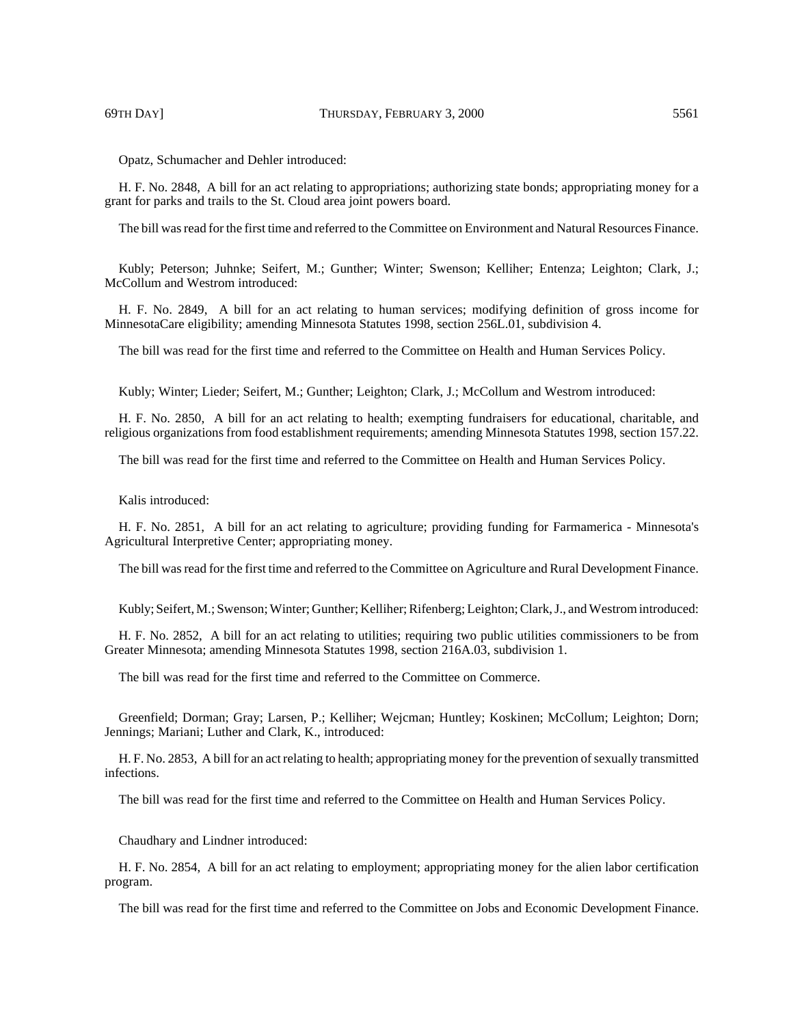Opatz, Schumacher and Dehler introduced:

H. F. No. 2848, A bill for an act relating to appropriations; authorizing state bonds; appropriating money for a grant for parks and trails to the St. Cloud area joint powers board.

The bill was read for the first time and referred to the Committee on Environment and Natural Resources Finance.

Kubly; Peterson; Juhnke; Seifert, M.; Gunther; Winter; Swenson; Kelliher; Entenza; Leighton; Clark, J.; McCollum and Westrom introduced:

H. F. No. 2849, A bill for an act relating to human services; modifying definition of gross income for MinnesotaCare eligibility; amending Minnesota Statutes 1998, section 256L.01, subdivision 4.

The bill was read for the first time and referred to the Committee on Health and Human Services Policy.

Kubly; Winter; Lieder; Seifert, M.; Gunther; Leighton; Clark, J.; McCollum and Westrom introduced:

H. F. No. 2850, A bill for an act relating to health; exempting fundraisers for educational, charitable, and religious organizations from food establishment requirements; amending Minnesota Statutes 1998, section 157.22.

The bill was read for the first time and referred to the Committee on Health and Human Services Policy.

Kalis introduced:

H. F. No. 2851, A bill for an act relating to agriculture; providing funding for Farmamerica - Minnesota's Agricultural Interpretive Center; appropriating money.

The bill was read for the first time and referred to the Committee on Agriculture and Rural Development Finance.

Kubly; Seifert, M.; Swenson; Winter; Gunther; Kelliher; Rifenberg; Leighton; Clark, J., and Westrom introduced:

H. F. No. 2852, A bill for an act relating to utilities; requiring two public utilities commissioners to be from Greater Minnesota; amending Minnesota Statutes 1998, section 216A.03, subdivision 1.

The bill was read for the first time and referred to the Committee on Commerce.

Greenfield; Dorman; Gray; Larsen, P.; Kelliher; Wejcman; Huntley; Koskinen; McCollum; Leighton; Dorn; Jennings; Mariani; Luther and Clark, K., introduced:

H. F. No. 2853, A bill for an act relating to health; appropriating money for the prevention of sexually transmitted infections.

The bill was read for the first time and referred to the Committee on Health and Human Services Policy.

Chaudhary and Lindner introduced:

H. F. No. 2854, A bill for an act relating to employment; appropriating money for the alien labor certification program.

The bill was read for the first time and referred to the Committee on Jobs and Economic Development Finance.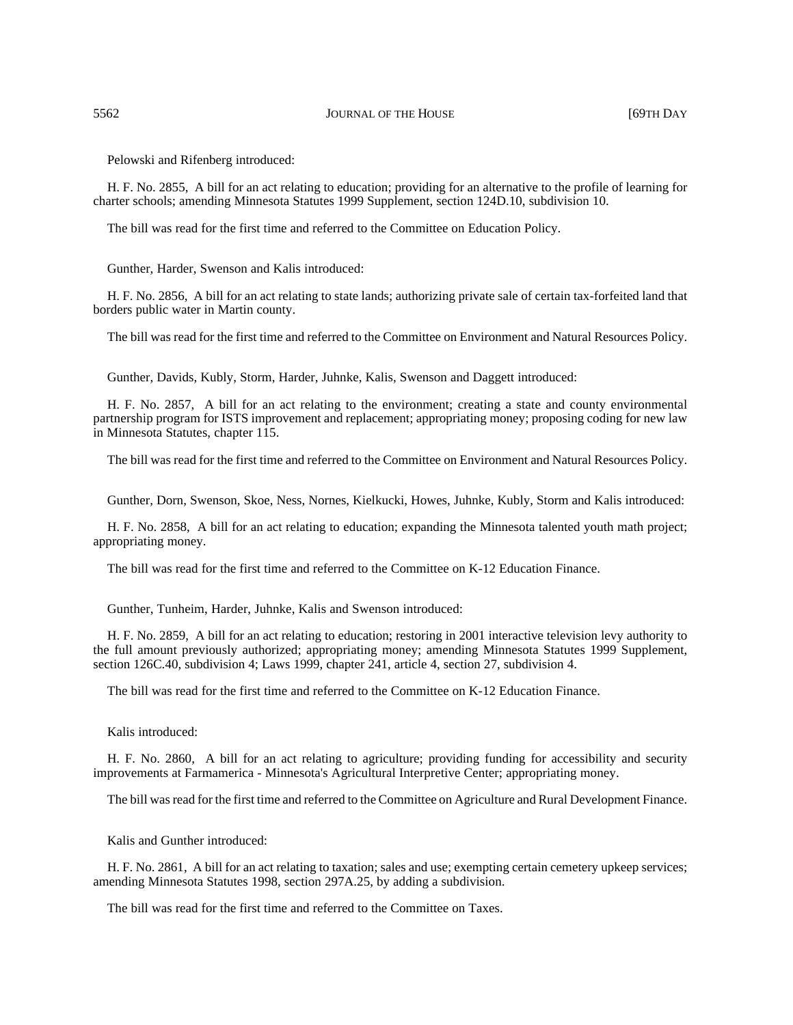Pelowski and Rifenberg introduced:

H. F. No. 2855, A bill for an act relating to education; providing for an alternative to the profile of learning for charter schools; amending Minnesota Statutes 1999 Supplement, section 124D.10, subdivision 10.

The bill was read for the first time and referred to the Committee on Education Policy.

Gunther, Harder, Swenson and Kalis introduced:

H. F. No. 2856, A bill for an act relating to state lands; authorizing private sale of certain tax-forfeited land that borders public water in Martin county.

The bill was read for the first time and referred to the Committee on Environment and Natural Resources Policy.

Gunther, Davids, Kubly, Storm, Harder, Juhnke, Kalis, Swenson and Daggett introduced:

H. F. No. 2857, A bill for an act relating to the environment; creating a state and county environmental partnership program for ISTS improvement and replacement; appropriating money; proposing coding for new law in Minnesota Statutes, chapter 115.

The bill was read for the first time and referred to the Committee on Environment and Natural Resources Policy.

Gunther, Dorn, Swenson, Skoe, Ness, Nornes, Kielkucki, Howes, Juhnke, Kubly, Storm and Kalis introduced:

H. F. No. 2858, A bill for an act relating to education; expanding the Minnesota talented youth math project; appropriating money.

The bill was read for the first time and referred to the Committee on K-12 Education Finance.

Gunther, Tunheim, Harder, Juhnke, Kalis and Swenson introduced:

H. F. No. 2859, A bill for an act relating to education; restoring in 2001 interactive television levy authority to the full amount previously authorized; appropriating money; amending Minnesota Statutes 1999 Supplement, section 126C.40, subdivision 4; Laws 1999, chapter 241, article 4, section 27, subdivision 4.

The bill was read for the first time and referred to the Committee on K-12 Education Finance.

Kalis introduced:

H. F. No. 2860, A bill for an act relating to agriculture; providing funding for accessibility and security improvements at Farmamerica - Minnesota's Agricultural Interpretive Center; appropriating money.

The bill was read for the first time and referred to the Committee on Agriculture and Rural Development Finance.

Kalis and Gunther introduced:

H. F. No. 2861, A bill for an act relating to taxation; sales and use; exempting certain cemetery upkeep services; amending Minnesota Statutes 1998, section 297A.25, by adding a subdivision.

The bill was read for the first time and referred to the Committee on Taxes.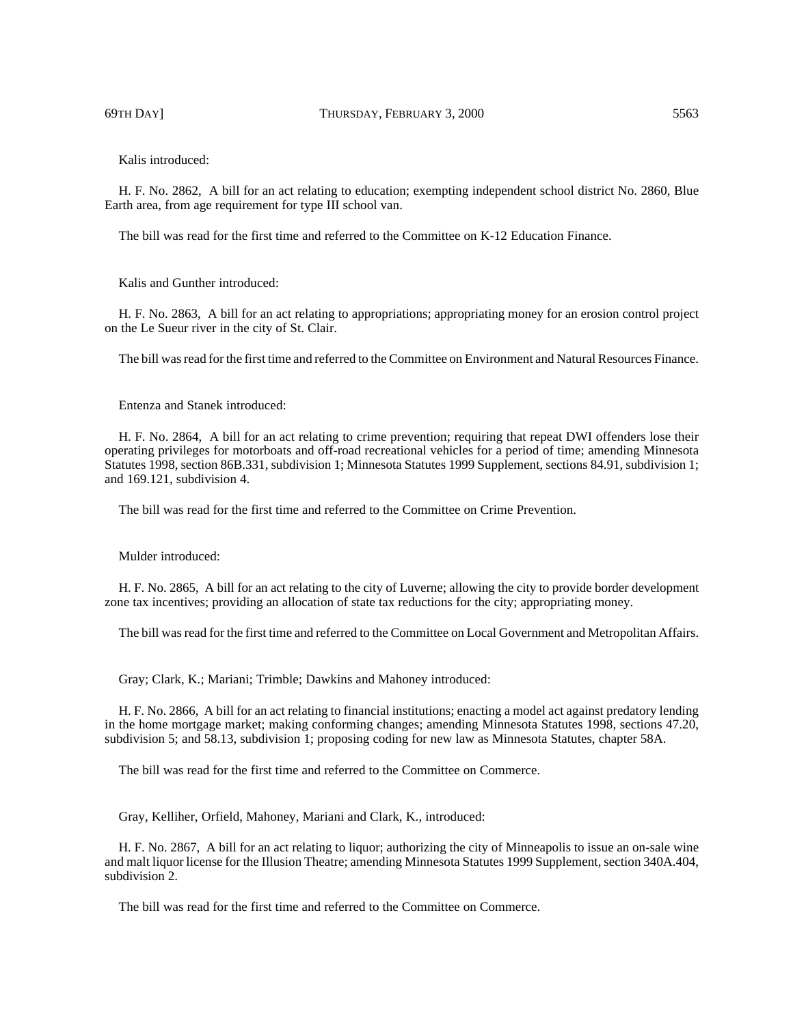69TH DAY] THURSDAY, FEBRUARY 3, 2000 5563

Kalis introduced:

H. F. No. 2862, A bill for an act relating to education; exempting independent school district No. 2860, Blue Earth area, from age requirement for type III school van.

The bill was read for the first time and referred to the Committee on K-12 Education Finance.

Kalis and Gunther introduced:

H. F. No. 2863, A bill for an act relating to appropriations; appropriating money for an erosion control project on the Le Sueur river in the city of St. Clair.

The bill was read for the first time and referred to the Committee on Environment and Natural Resources Finance.

Entenza and Stanek introduced:

H. F. No. 2864, A bill for an act relating to crime prevention; requiring that repeat DWI offenders lose their operating privileges for motorboats and off-road recreational vehicles for a period of time; amending Minnesota Statutes 1998, section 86B.331, subdivision 1; Minnesota Statutes 1999 Supplement, sections 84.91, subdivision 1; and 169.121, subdivision 4.

The bill was read for the first time and referred to the Committee on Crime Prevention.

Mulder introduced:

H. F. No. 2865, A bill for an act relating to the city of Luverne; allowing the city to provide border development zone tax incentives; providing an allocation of state tax reductions for the city; appropriating money.

The bill was read for the first time and referred to the Committee on Local Government and Metropolitan Affairs.

Gray; Clark, K.; Mariani; Trimble; Dawkins and Mahoney introduced:

H. F. No. 2866, A bill for an act relating to financial institutions; enacting a model act against predatory lending in the home mortgage market; making conforming changes; amending Minnesota Statutes 1998, sections 47.20, subdivision 5; and 58.13, subdivision 1; proposing coding for new law as Minnesota Statutes, chapter 58A.

The bill was read for the first time and referred to the Committee on Commerce.

Gray, Kelliher, Orfield, Mahoney, Mariani and Clark, K., introduced:

H. F. No. 2867, A bill for an act relating to liquor; authorizing the city of Minneapolis to issue an on-sale wine and malt liquor license for the Illusion Theatre; amending Minnesota Statutes 1999 Supplement, section 340A.404, subdivision 2.

The bill was read for the first time and referred to the Committee on Commerce.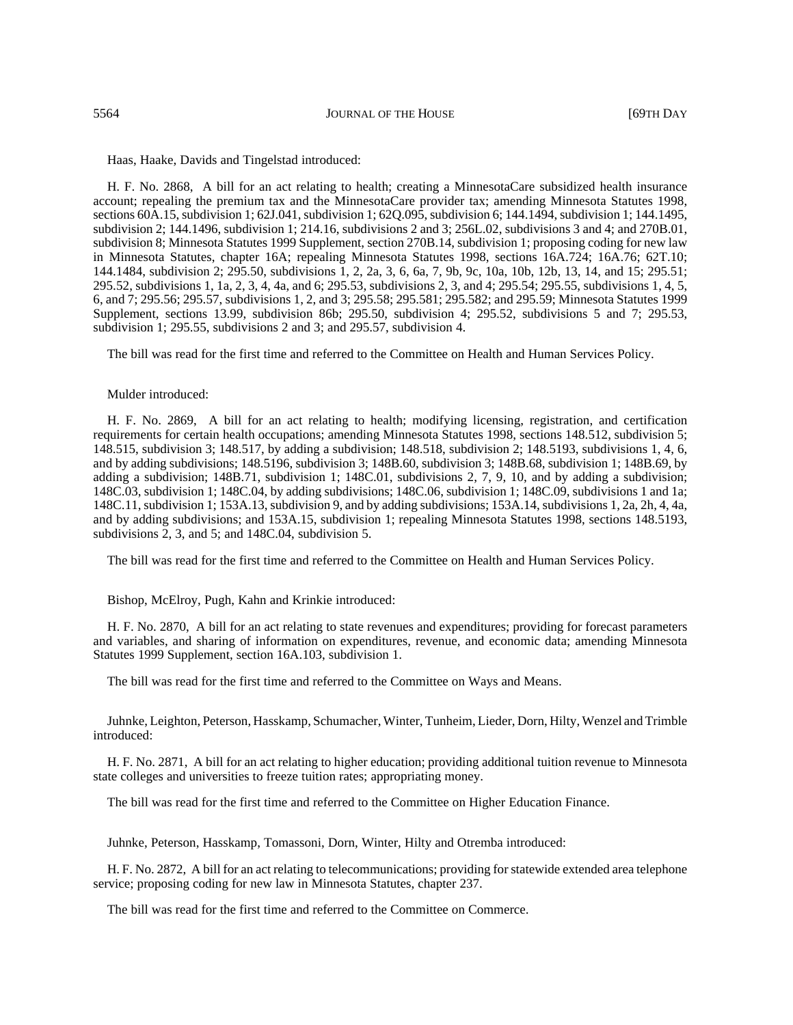Haas, Haake, Davids and Tingelstad introduced:

H. F. No. 2868, A bill for an act relating to health; creating a MinnesotaCare subsidized health insurance account; repealing the premium tax and the MinnesotaCare provider tax; amending Minnesota Statutes 1998, sections 60A.15, subdivision 1; 62J.041, subdivision 1; 62Q.095, subdivision 6; 144.1494, subdivision 1; 144.1495, subdivision 2; 144.1496, subdivision 1; 214.16, subdivisions 2 and 3; 256L.02, subdivisions 3 and 4; and 270B.01, subdivision 8; Minnesota Statutes 1999 Supplement, section 270B.14, subdivision 1; proposing coding for new law in Minnesota Statutes, chapter 16A; repealing Minnesota Statutes 1998, sections 16A.724; 16A.76; 62T.10; 144.1484, subdivision 2; 295.50, subdivisions 1, 2, 2a, 3, 6, 6a, 7, 9b, 9c, 10a, 10b, 12b, 13, 14, and 15; 295.51; 295.52, subdivisions 1, 1a, 2, 3, 4, 4a, and 6; 295.53, subdivisions 2, 3, and 4; 295.54; 295.55, subdivisions 1, 4, 5, 6, and 7; 295.56; 295.57, subdivisions 1, 2, and 3; 295.58; 295.581; 295.582; and 295.59; Minnesota Statutes 1999 Supplement, sections 13.99, subdivision 86b; 295.50, subdivision 4; 295.52, subdivisions 5 and 7; 295.53, subdivision 1; 295.55, subdivisions 2 and 3; and 295.57, subdivision 4.

The bill was read for the first time and referred to the Committee on Health and Human Services Policy.

#### Mulder introduced:

H. F. No. 2869, A bill for an act relating to health; modifying licensing, registration, and certification requirements for certain health occupations; amending Minnesota Statutes 1998, sections 148.512, subdivision 5; 148.515, subdivision 3; 148.517, by adding a subdivision; 148.518, subdivision 2; 148.5193, subdivisions 1, 4, 6, and by adding subdivisions; 148.5196, subdivision 3; 148B.60, subdivision 3; 148B.68, subdivision 1; 148B.69, by adding a subdivision; 148B.71, subdivision 1; 148C.01, subdivisions 2, 7, 9, 10, and by adding a subdivision; 148C.03, subdivision 1; 148C.04, by adding subdivisions; 148C.06, subdivision 1; 148C.09, subdivisions 1 and 1a; 148C.11, subdivision 1; 153A.13, subdivision 9, and by adding subdivisions; 153A.14, subdivisions 1, 2a, 2h, 4, 4a, and by adding subdivisions; and 153A.15, subdivision 1; repealing Minnesota Statutes 1998, sections 148.5193, subdivisions  $\overline{2}$ , 3, and 5; and 148C.04, subdivision 5.

The bill was read for the first time and referred to the Committee on Health and Human Services Policy.

Bishop, McElroy, Pugh, Kahn and Krinkie introduced:

H. F. No. 2870, A bill for an act relating to state revenues and expenditures; providing for forecast parameters and variables, and sharing of information on expenditures, revenue, and economic data; amending Minnesota Statutes 1999 Supplement, section 16A.103, subdivision 1.

The bill was read for the first time and referred to the Committee on Ways and Means.

Juhnke, Leighton, Peterson, Hasskamp, Schumacher, Winter, Tunheim, Lieder, Dorn, Hilty, Wenzel and Trimble introduced:

H. F. No. 2871, A bill for an act relating to higher education; providing additional tuition revenue to Minnesota state colleges and universities to freeze tuition rates; appropriating money.

The bill was read for the first time and referred to the Committee on Higher Education Finance.

Juhnke, Peterson, Hasskamp, Tomassoni, Dorn, Winter, Hilty and Otremba introduced:

H. F. No. 2872, A bill for an act relating to telecommunications; providing for statewide extended area telephone service; proposing coding for new law in Minnesota Statutes, chapter 237.

The bill was read for the first time and referred to the Committee on Commerce.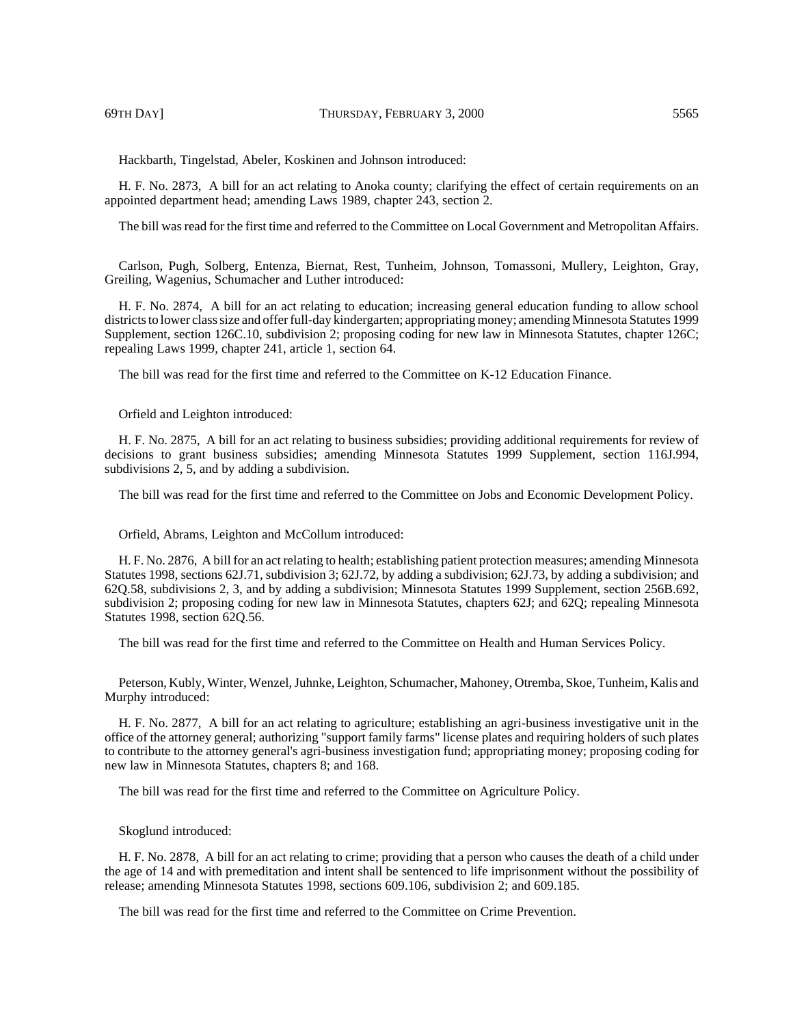Hackbarth, Tingelstad, Abeler, Koskinen and Johnson introduced:

H. F. No. 2873, A bill for an act relating to Anoka county; clarifying the effect of certain requirements on an appointed department head; amending Laws 1989, chapter 243, section 2.

The bill was read for the first time and referred to the Committee on Local Government and Metropolitan Affairs.

Carlson, Pugh, Solberg, Entenza, Biernat, Rest, Tunheim, Johnson, Tomassoni, Mullery, Leighton, Gray, Greiling, Wagenius, Schumacher and Luther introduced:

H. F. No. 2874, A bill for an act relating to education; increasing general education funding to allow school districts to lower class size and offer full-day kindergarten; appropriating money; amending Minnesota Statutes 1999 Supplement, section 126C.10, subdivision 2; proposing coding for new law in Minnesota Statutes, chapter 126C; repealing Laws 1999, chapter 241, article 1, section 64.

The bill was read for the first time and referred to the Committee on K-12 Education Finance.

Orfield and Leighton introduced:

H. F. No. 2875, A bill for an act relating to business subsidies; providing additional requirements for review of decisions to grant business subsidies; amending Minnesota Statutes 1999 Supplement, section 116J.994, subdivisions 2, 5, and by adding a subdivision.

The bill was read for the first time and referred to the Committee on Jobs and Economic Development Policy.

Orfield, Abrams, Leighton and McCollum introduced:

H. F. No. 2876, A bill for an act relating to health; establishing patient protection measures; amending Minnesota Statutes 1998, sections 62J.71, subdivision 3; 62J.72, by adding a subdivision; 62J.73, by adding a subdivision; and 62Q.58, subdivisions 2, 3, and by adding a subdivision; Minnesota Statutes 1999 Supplement, section 256B.692, subdivision 2; proposing coding for new law in Minnesota Statutes, chapters 62J; and 62Q; repealing Minnesota Statutes 1998, section 62Q.56.

The bill was read for the first time and referred to the Committee on Health and Human Services Policy.

Peterson, Kubly, Winter, Wenzel, Juhnke, Leighton, Schumacher, Mahoney, Otremba, Skoe, Tunheim, Kalis and Murphy introduced:

H. F. No. 2877, A bill for an act relating to agriculture; establishing an agri-business investigative unit in the office of the attorney general; authorizing "support family farms" license plates and requiring holders of such plates to contribute to the attorney general's agri-business investigation fund; appropriating money; proposing coding for new law in Minnesota Statutes, chapters 8; and 168.

The bill was read for the first time and referred to the Committee on Agriculture Policy.

### Skoglund introduced:

H. F. No. 2878, A bill for an act relating to crime; providing that a person who causes the death of a child under the age of 14 and with premeditation and intent shall be sentenced to life imprisonment without the possibility of release; amending Minnesota Statutes 1998, sections 609.106, subdivision 2; and 609.185.

The bill was read for the first time and referred to the Committee on Crime Prevention.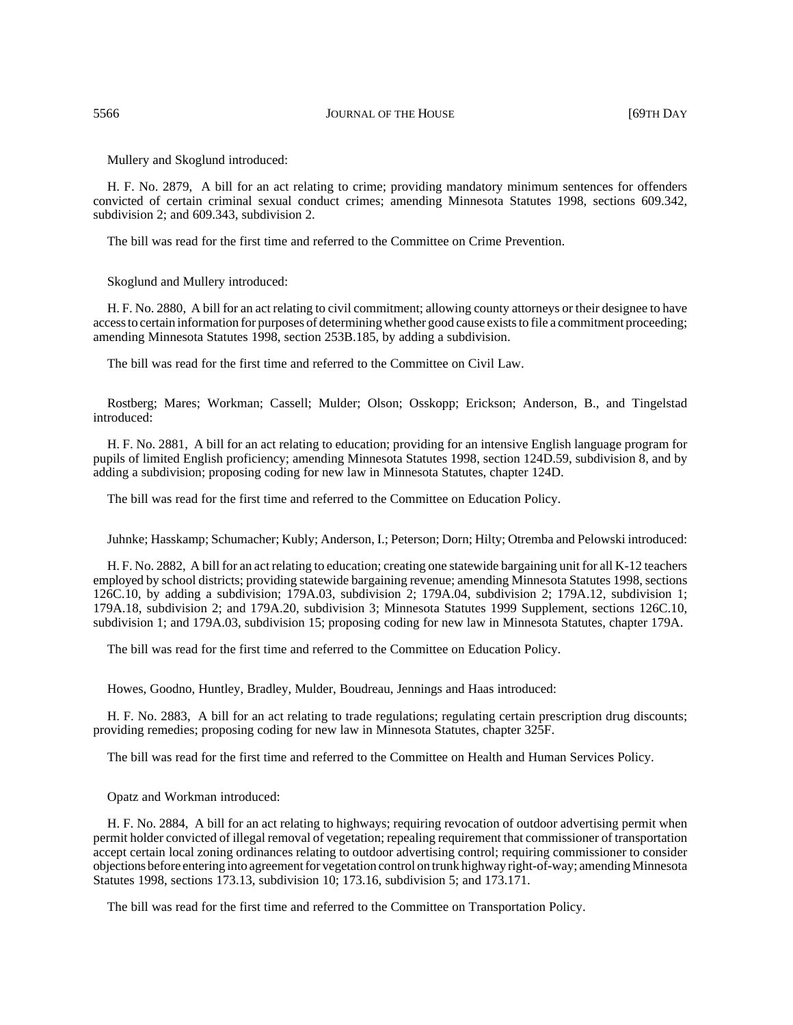Mullery and Skoglund introduced:

H. F. No. 2879, A bill for an act relating to crime; providing mandatory minimum sentences for offenders convicted of certain criminal sexual conduct crimes; amending Minnesota Statutes 1998, sections 609.342, subdivision 2; and 609.343, subdivision 2.

The bill was read for the first time and referred to the Committee on Crime Prevention.

Skoglund and Mullery introduced:

H. F. No. 2880, A bill for an act relating to civil commitment; allowing county attorneys or their designee to have access to certain information for purposes of determining whether good cause exists to file a commitment proceeding; amending Minnesota Statutes 1998, section 253B.185, by adding a subdivision.

The bill was read for the first time and referred to the Committee on Civil Law.

Rostberg; Mares; Workman; Cassell; Mulder; Olson; Osskopp; Erickson; Anderson, B., and Tingelstad introduced:

H. F. No. 2881, A bill for an act relating to education; providing for an intensive English language program for pupils of limited English proficiency; amending Minnesota Statutes 1998, section 124D.59, subdivision 8, and by adding a subdivision; proposing coding for new law in Minnesota Statutes, chapter 124D.

The bill was read for the first time and referred to the Committee on Education Policy.

Juhnke; Hasskamp; Schumacher; Kubly; Anderson, I.; Peterson; Dorn; Hilty; Otremba and Pelowski introduced:

H. F. No. 2882, A bill for an act relating to education; creating one statewide bargaining unit for all K-12 teachers employed by school districts; providing statewide bargaining revenue; amending Minnesota Statutes 1998, sections 126C.10, by adding a subdivision; 179A.03, subdivision 2; 179A.04, subdivision 2; 179A.12, subdivision 1; 179A.18, subdivision 2; and 179A.20, subdivision 3; Minnesota Statutes 1999 Supplement, sections 126C.10, subdivision 1; and 179A.03, subdivision 15; proposing coding for new law in Minnesota Statutes, chapter 179A.

The bill was read for the first time and referred to the Committee on Education Policy.

Howes, Goodno, Huntley, Bradley, Mulder, Boudreau, Jennings and Haas introduced:

H. F. No. 2883, A bill for an act relating to trade regulations; regulating certain prescription drug discounts; providing remedies; proposing coding for new law in Minnesota Statutes, chapter 325F.

The bill was read for the first time and referred to the Committee on Health and Human Services Policy.

#### Opatz and Workman introduced:

H. F. No. 2884, A bill for an act relating to highways; requiring revocation of outdoor advertising permit when permit holder convicted of illegal removal of vegetation; repealing requirement that commissioner of transportation accept certain local zoning ordinances relating to outdoor advertising control; requiring commissioner to consider objections before entering into agreement for vegetation control on trunk highway right-of-way; amending Minnesota Statutes 1998, sections 173.13, subdivision 10; 173.16, subdivision 5; and 173.171.

The bill was read for the first time and referred to the Committee on Transportation Policy.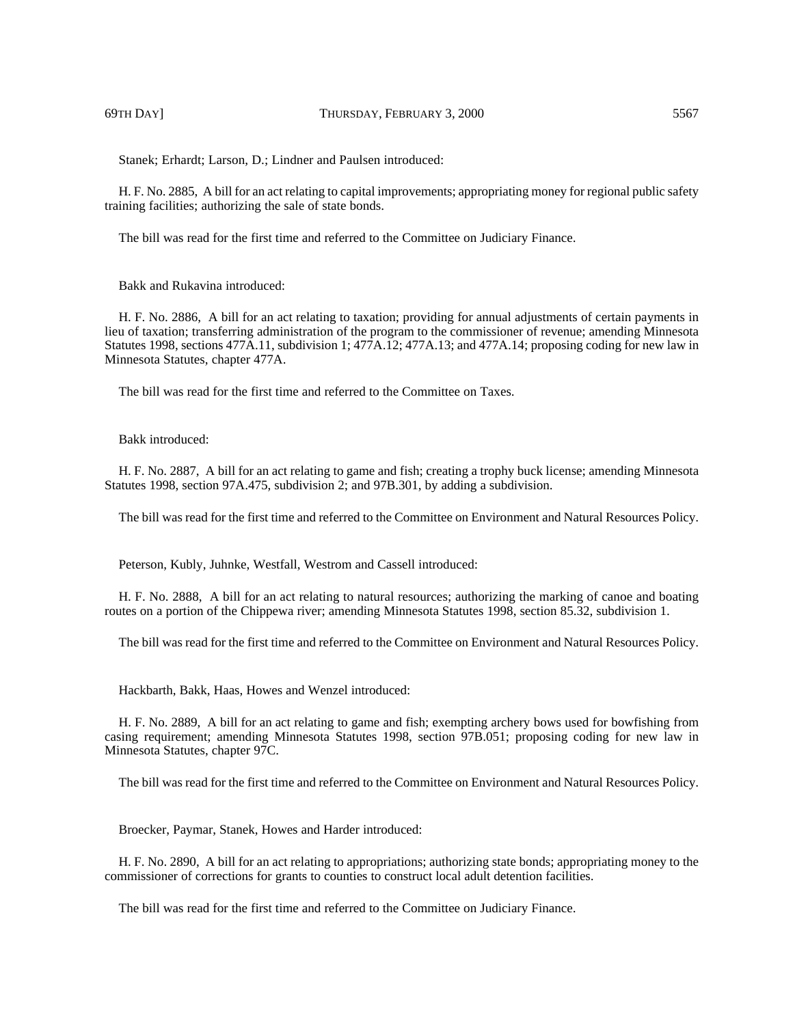69TH DAY] THURSDAY, FEBRUARY 3, 2000 5567

Stanek; Erhardt; Larson, D.; Lindner and Paulsen introduced:

H. F. No. 2885, A bill for an act relating to capital improvements; appropriating money for regional public safety training facilities; authorizing the sale of state bonds.

The bill was read for the first time and referred to the Committee on Judiciary Finance.

Bakk and Rukavina introduced:

H. F. No. 2886, A bill for an act relating to taxation; providing for annual adjustments of certain payments in lieu of taxation; transferring administration of the program to the commissioner of revenue; amending Minnesota Statutes 1998, sections 477A.11, subdivision 1; 477A.12; 477A.13; and 477A.14; proposing coding for new law in Minnesota Statutes, chapter 477A.

The bill was read for the first time and referred to the Committee on Taxes.

Bakk introduced:

H. F. No. 2887, A bill for an act relating to game and fish; creating a trophy buck license; amending Minnesota Statutes 1998, section 97A.475, subdivision 2; and 97B.301, by adding a subdivision.

The bill was read for the first time and referred to the Committee on Environment and Natural Resources Policy.

Peterson, Kubly, Juhnke, Westfall, Westrom and Cassell introduced:

H. F. No. 2888, A bill for an act relating to natural resources; authorizing the marking of canoe and boating routes on a portion of the Chippewa river; amending Minnesota Statutes 1998, section 85.32, subdivision 1.

The bill was read for the first time and referred to the Committee on Environment and Natural Resources Policy.

Hackbarth, Bakk, Haas, Howes and Wenzel introduced:

H. F. No. 2889, A bill for an act relating to game and fish; exempting archery bows used for bowfishing from casing requirement; amending Minnesota Statutes 1998, section 97B.051; proposing coding for new law in Minnesota Statutes, chapter 97C.

The bill was read for the first time and referred to the Committee on Environment and Natural Resources Policy.

Broecker, Paymar, Stanek, Howes and Harder introduced:

H. F. No. 2890, A bill for an act relating to appropriations; authorizing state bonds; appropriating money to the commissioner of corrections for grants to counties to construct local adult detention facilities.

The bill was read for the first time and referred to the Committee on Judiciary Finance.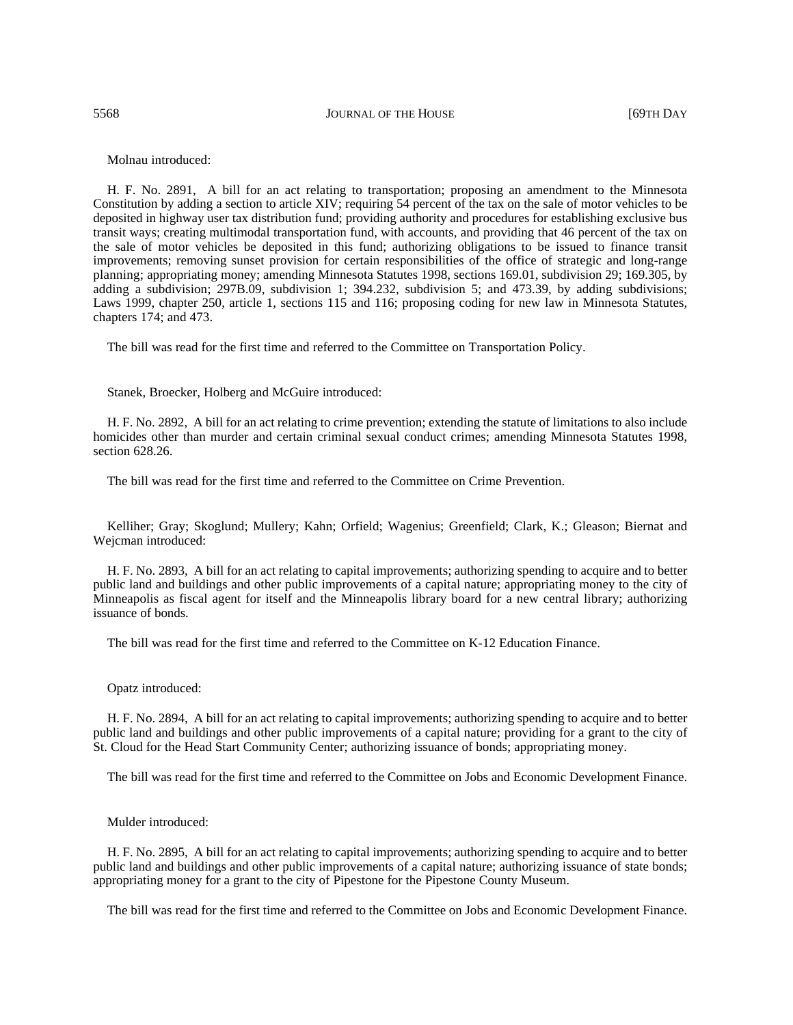5568 JOURNAL OF THE HOUSE [69TH DAY

Molnau introduced:

H. F. No. 2891, A bill for an act relating to transportation; proposing an amendment to the Minnesota Constitution by adding a section to article XIV; requiring 54 percent of the tax on the sale of motor vehicles to be deposited in highway user tax distribution fund; providing authority and procedures for establishing exclusive bus transit ways; creating multimodal transportation fund, with accounts, and providing that 46 percent of the tax on the sale of motor vehicles be deposited in this fund; authorizing obligations to be issued to finance transit improvements; removing sunset provision for certain responsibilities of the office of strategic and long-range planning; appropriating money; amending Minnesota Statutes 1998, sections 169.01, subdivision 29; 169.305, by adding a subdivision; 297B.09, subdivision 1; 394.232, subdivision 5; and 473.39, by adding subdivisions; Laws 1999, chapter 250, article 1, sections 115 and 116; proposing coding for new law in Minnesota Statutes, chapters 174; and 473.

The bill was read for the first time and referred to the Committee on Transportation Policy.

Stanek, Broecker, Holberg and McGuire introduced:

H. F. No. 2892, A bill for an act relating to crime prevention; extending the statute of limitations to also include homicides other than murder and certain criminal sexual conduct crimes; amending Minnesota Statutes 1998, section 628.26.

The bill was read for the first time and referred to the Committee on Crime Prevention.

Kelliher; Gray; Skoglund; Mullery; Kahn; Orfield; Wagenius; Greenfield; Clark, K.; Gleason; Biernat and Wejcman introduced:

H. F. No. 2893, A bill for an act relating to capital improvements; authorizing spending to acquire and to better public land and buildings and other public improvements of a capital nature; appropriating money to the city of Minneapolis as fiscal agent for itself and the Minneapolis library board for a new central library; authorizing issuance of bonds.

The bill was read for the first time and referred to the Committee on K-12 Education Finance.

#### Opatz introduced:

H. F. No. 2894, A bill for an act relating to capital improvements; authorizing spending to acquire and to better public land and buildings and other public improvements of a capital nature; providing for a grant to the city of St. Cloud for the Head Start Community Center; authorizing issuance of bonds; appropriating money.

The bill was read for the first time and referred to the Committee on Jobs and Economic Development Finance.

Mulder introduced:

H. F. No. 2895, A bill for an act relating to capital improvements; authorizing spending to acquire and to better public land and buildings and other public improvements of a capital nature; authorizing issuance of state bonds; appropriating money for a grant to the city of Pipestone for the Pipestone County Museum.

The bill was read for the first time and referred to the Committee on Jobs and Economic Development Finance.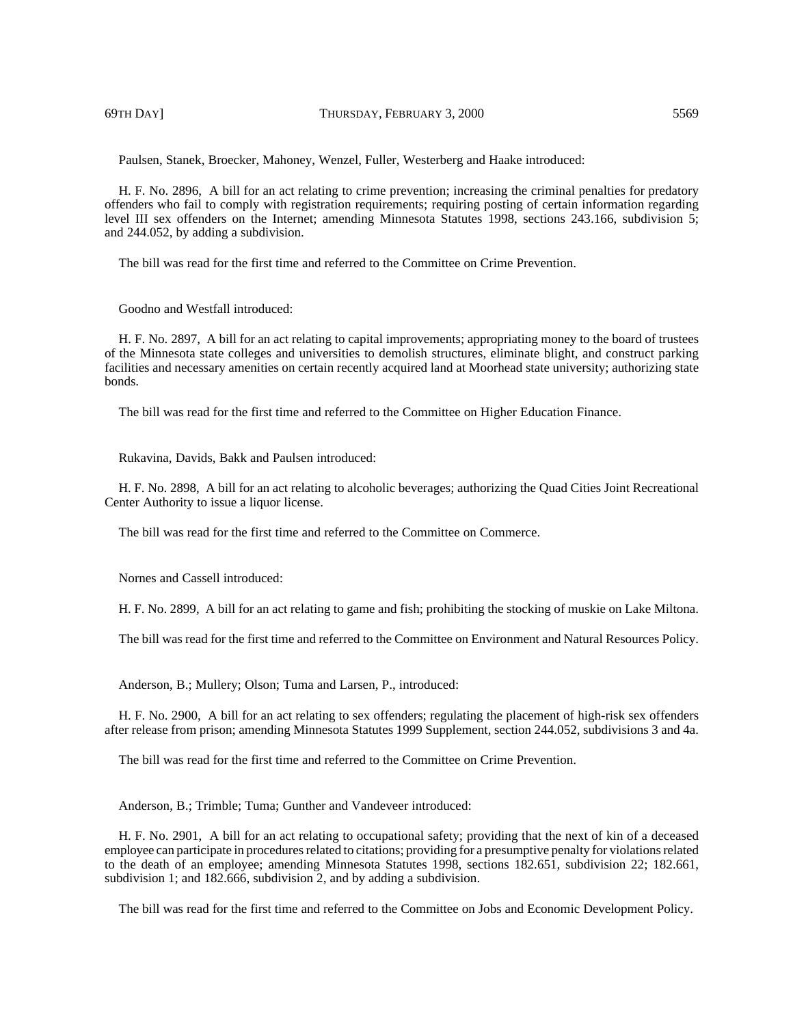69TH DAY] THURSDAY, FEBRUARY 3, 2000 5569

Paulsen, Stanek, Broecker, Mahoney, Wenzel, Fuller, Westerberg and Haake introduced:

H. F. No. 2896, A bill for an act relating to crime prevention; increasing the criminal penalties for predatory offenders who fail to comply with registration requirements; requiring posting of certain information regarding level III sex offenders on the Internet; amending Minnesota Statutes 1998, sections 243.166, subdivision 5; and 244.052, by adding a subdivision.

The bill was read for the first time and referred to the Committee on Crime Prevention.

Goodno and Westfall introduced:

H. F. No. 2897, A bill for an act relating to capital improvements; appropriating money to the board of trustees of the Minnesota state colleges and universities to demolish structures, eliminate blight, and construct parking facilities and necessary amenities on certain recently acquired land at Moorhead state university; authorizing state bonds.

The bill was read for the first time and referred to the Committee on Higher Education Finance.

Rukavina, Davids, Bakk and Paulsen introduced:

H. F. No. 2898, A bill for an act relating to alcoholic beverages; authorizing the Quad Cities Joint Recreational Center Authority to issue a liquor license.

The bill was read for the first time and referred to the Committee on Commerce.

Nornes and Cassell introduced:

H. F. No. 2899, A bill for an act relating to game and fish; prohibiting the stocking of muskie on Lake Miltona.

The bill was read for the first time and referred to the Committee on Environment and Natural Resources Policy.

Anderson, B.; Mullery; Olson; Tuma and Larsen, P., introduced:

H. F. No. 2900, A bill for an act relating to sex offenders; regulating the placement of high-risk sex offenders after release from prison; amending Minnesota Statutes 1999 Supplement, section 244.052, subdivisions 3 and 4a.

The bill was read for the first time and referred to the Committee on Crime Prevention.

Anderson, B.; Trimble; Tuma; Gunther and Vandeveer introduced:

H. F. No. 2901, A bill for an act relating to occupational safety; providing that the next of kin of a deceased employee can participate in procedures related to citations; providing for a presumptive penalty for violations related to the death of an employee; amending Minnesota Statutes 1998, sections 182.651, subdivision 22; 182.661, subdivision 1; and 182.666, subdivision 2, and by adding a subdivision.

The bill was read for the first time and referred to the Committee on Jobs and Economic Development Policy.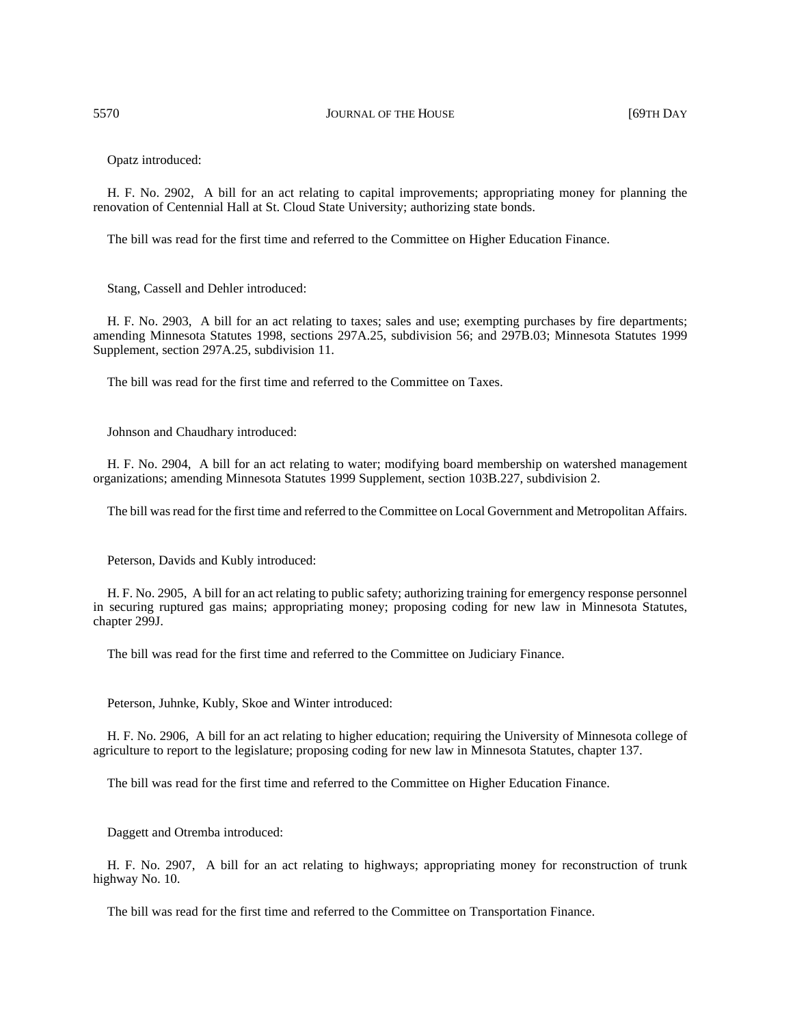Opatz introduced:

H. F. No. 2902, A bill for an act relating to capital improvements; appropriating money for planning the renovation of Centennial Hall at St. Cloud State University; authorizing state bonds.

The bill was read for the first time and referred to the Committee on Higher Education Finance.

Stang, Cassell and Dehler introduced:

H. F. No. 2903, A bill for an act relating to taxes; sales and use; exempting purchases by fire departments; amending Minnesota Statutes 1998, sections 297A.25, subdivision 56; and 297B.03; Minnesota Statutes 1999 Supplement, section 297A.25, subdivision 11.

The bill was read for the first time and referred to the Committee on Taxes.

Johnson and Chaudhary introduced:

H. F. No. 2904, A bill for an act relating to water; modifying board membership on watershed management organizations; amending Minnesota Statutes 1999 Supplement, section 103B.227, subdivision 2.

The bill was read for the first time and referred to the Committee on Local Government and Metropolitan Affairs.

Peterson, Davids and Kubly introduced:

H. F. No. 2905, A bill for an act relating to public safety; authorizing training for emergency response personnel in securing ruptured gas mains; appropriating money; proposing coding for new law in Minnesota Statutes, chapter 299J.

The bill was read for the first time and referred to the Committee on Judiciary Finance.

Peterson, Juhnke, Kubly, Skoe and Winter introduced:

H. F. No. 2906, A bill for an act relating to higher education; requiring the University of Minnesota college of agriculture to report to the legislature; proposing coding for new law in Minnesota Statutes, chapter 137.

The bill was read for the first time and referred to the Committee on Higher Education Finance.

Daggett and Otremba introduced:

H. F. No. 2907, A bill for an act relating to highways; appropriating money for reconstruction of trunk highway No. 10.

The bill was read for the first time and referred to the Committee on Transportation Finance.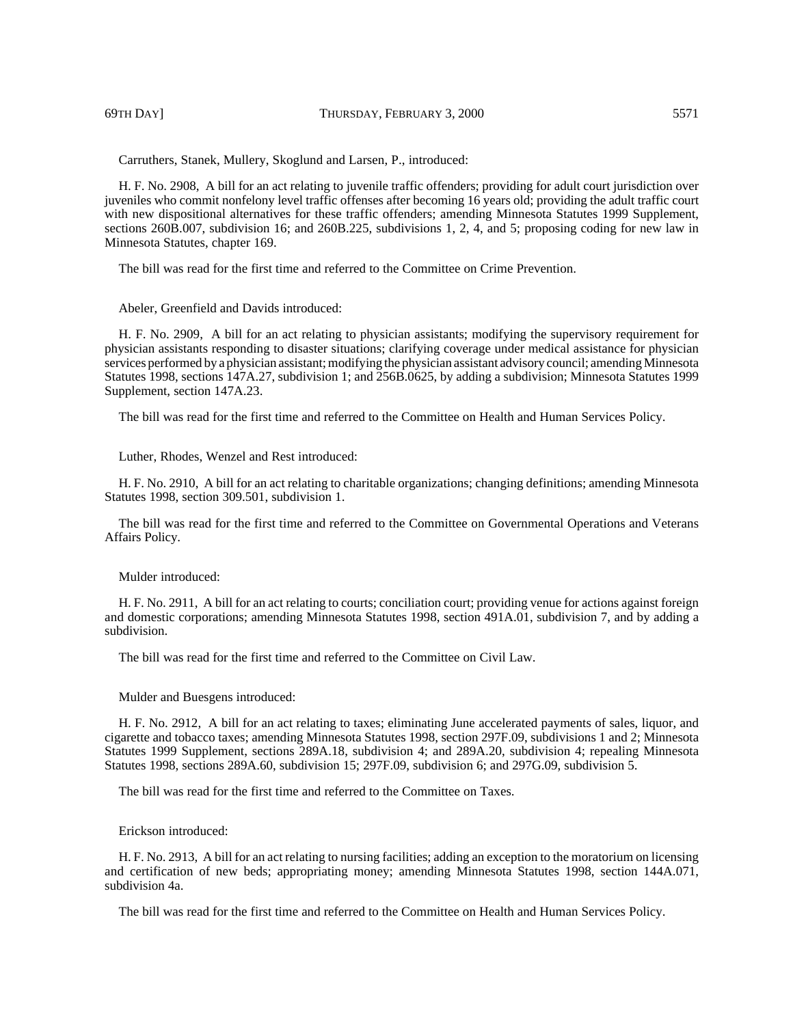Carruthers, Stanek, Mullery, Skoglund and Larsen, P., introduced:

H. F. No. 2908, A bill for an act relating to juvenile traffic offenders; providing for adult court jurisdiction over juveniles who commit nonfelony level traffic offenses after becoming 16 years old; providing the adult traffic court with new dispositional alternatives for these traffic offenders; amending Minnesota Statutes 1999 Supplement, sections 260B.007, subdivision 16; and 260B.225, subdivisions 1, 2, 4, and 5; proposing coding for new law in Minnesota Statutes, chapter 169.

The bill was read for the first time and referred to the Committee on Crime Prevention.

Abeler, Greenfield and Davids introduced:

H. F. No. 2909, A bill for an act relating to physician assistants; modifying the supervisory requirement for physician assistants responding to disaster situations; clarifying coverage under medical assistance for physician services performed by a physician assistant; modifying the physician assistant advisory council; amending Minnesota Statutes 1998, sections 147A.27, subdivision 1; and 256B.0625, by adding a subdivision; Minnesota Statutes 1999 Supplement, section 147A.23.

The bill was read for the first time and referred to the Committee on Health and Human Services Policy.

Luther, Rhodes, Wenzel and Rest introduced:

H. F. No. 2910, A bill for an act relating to charitable organizations; changing definitions; amending Minnesota Statutes 1998, section 309.501, subdivision 1.

The bill was read for the first time and referred to the Committee on Governmental Operations and Veterans Affairs Policy.

#### Mulder introduced:

H. F. No. 2911, A bill for an act relating to courts; conciliation court; providing venue for actions against foreign and domestic corporations; amending Minnesota Statutes 1998, section 491A.01, subdivision 7, and by adding a subdivision.

The bill was read for the first time and referred to the Committee on Civil Law.

### Mulder and Buesgens introduced:

H. F. No. 2912, A bill for an act relating to taxes; eliminating June accelerated payments of sales, liquor, and cigarette and tobacco taxes; amending Minnesota Statutes 1998, section 297F.09, subdivisions 1 and 2; Minnesota Statutes 1999 Supplement, sections 289A.18, subdivision 4; and 289A.20, subdivision 4; repealing Minnesota Statutes 1998, sections 289A.60, subdivision 15; 297F.09, subdivision 6; and 297G.09, subdivision 5.

The bill was read for the first time and referred to the Committee on Taxes.

## Erickson introduced:

H. F. No. 2913, A bill for an act relating to nursing facilities; adding an exception to the moratorium on licensing and certification of new beds; appropriating money; amending Minnesota Statutes 1998, section 144A.071, subdivision 4a.

The bill was read for the first time and referred to the Committee on Health and Human Services Policy.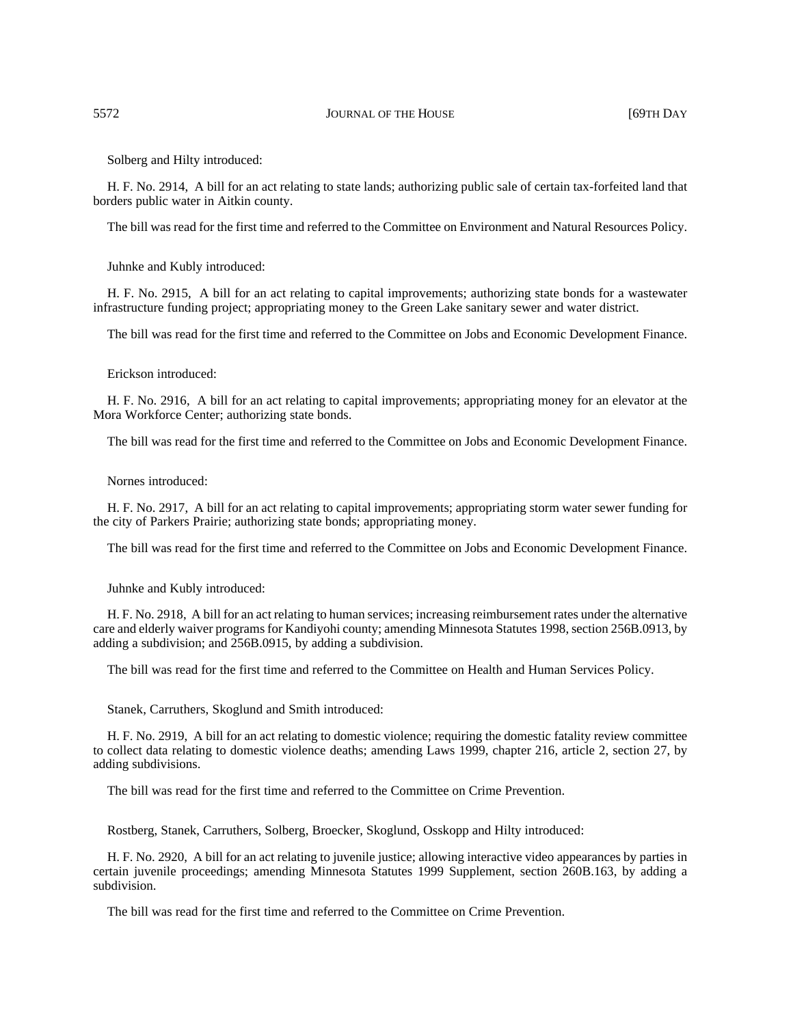### 5572 JOURNAL OF THE HOUSE [69TH DAY

Solberg and Hilty introduced:

H. F. No. 2914, A bill for an act relating to state lands; authorizing public sale of certain tax-forfeited land that borders public water in Aitkin county.

The bill was read for the first time and referred to the Committee on Environment and Natural Resources Policy.

Juhnke and Kubly introduced:

H. F. No. 2915, A bill for an act relating to capital improvements; authorizing state bonds for a wastewater infrastructure funding project; appropriating money to the Green Lake sanitary sewer and water district.

The bill was read for the first time and referred to the Committee on Jobs and Economic Development Finance.

#### Erickson introduced:

H. F. No. 2916, A bill for an act relating to capital improvements; appropriating money for an elevator at the Mora Workforce Center; authorizing state bonds.

The bill was read for the first time and referred to the Committee on Jobs and Economic Development Finance.

#### Nornes introduced:

H. F. No. 2917, A bill for an act relating to capital improvements; appropriating storm water sewer funding for the city of Parkers Prairie; authorizing state bonds; appropriating money.

The bill was read for the first time and referred to the Committee on Jobs and Economic Development Finance.

Juhnke and Kubly introduced:

H. F. No. 2918, A bill for an act relating to human services; increasing reimbursement rates under the alternative care and elderly waiver programs for Kandiyohi county; amending Minnesota Statutes 1998, section 256B.0913, by adding a subdivision; and 256B.0915, by adding a subdivision.

The bill was read for the first time and referred to the Committee on Health and Human Services Policy.

Stanek, Carruthers, Skoglund and Smith introduced:

H. F. No. 2919, A bill for an act relating to domestic violence; requiring the domestic fatality review committee to collect data relating to domestic violence deaths; amending Laws 1999, chapter 216, article 2, section 27, by adding subdivisions.

The bill was read for the first time and referred to the Committee on Crime Prevention.

Rostberg, Stanek, Carruthers, Solberg, Broecker, Skoglund, Osskopp and Hilty introduced:

H. F. No. 2920, A bill for an act relating to juvenile justice; allowing interactive video appearances by parties in certain juvenile proceedings; amending Minnesota Statutes 1999 Supplement, section 260B.163, by adding a subdivision.

The bill was read for the first time and referred to the Committee on Crime Prevention.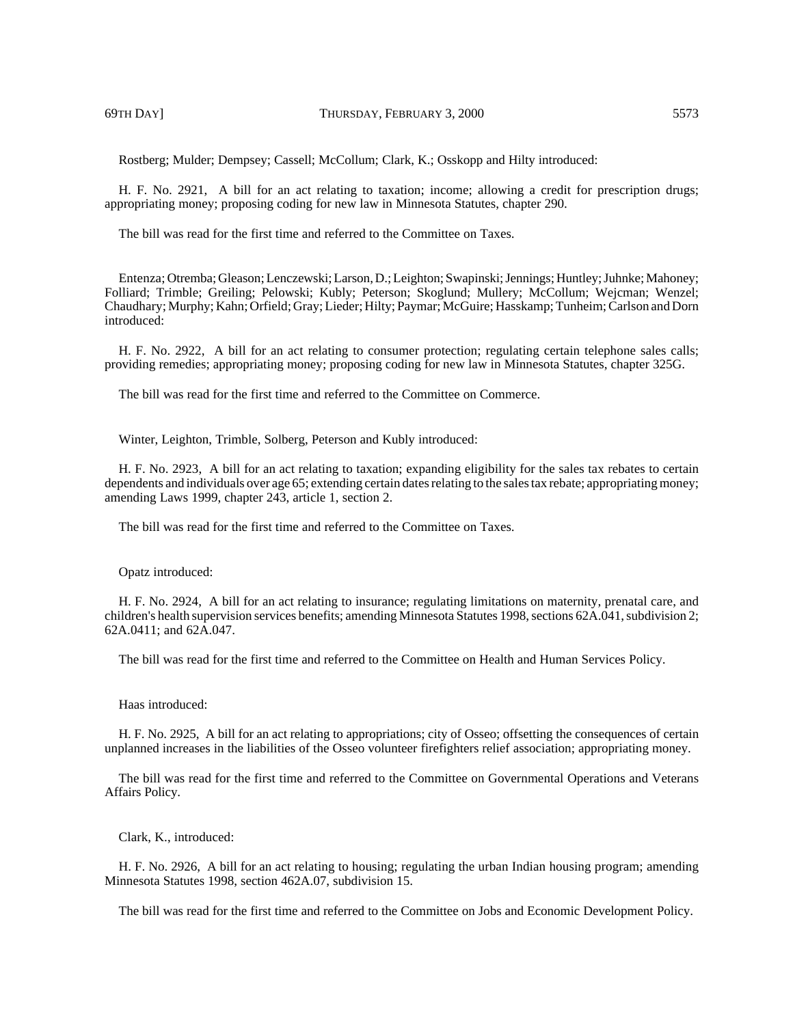Rostberg; Mulder; Dempsey; Cassell; McCollum; Clark, K.; Osskopp and Hilty introduced:

H. F. No. 2921, A bill for an act relating to taxation; income; allowing a credit for prescription drugs; appropriating money; proposing coding for new law in Minnesota Statutes, chapter 290.

The bill was read for the first time and referred to the Committee on Taxes.

Entenza; Otremba; Gleason; Lenczewski; Larson, D.; Leighton; Swapinski; Jennings; Huntley; Juhnke; Mahoney; Folliard; Trimble; Greiling; Pelowski; Kubly; Peterson; Skoglund; Mullery; McCollum; Wejcman; Wenzel; Chaudhary; Murphy; Kahn; Orfield; Gray; Lieder; Hilty; Paymar; McGuire; Hasskamp; Tunheim; Carlson and Dorn introduced:

H. F. No. 2922, A bill for an act relating to consumer protection; regulating certain telephone sales calls; providing remedies; appropriating money; proposing coding for new law in Minnesota Statutes, chapter 325G.

The bill was read for the first time and referred to the Committee on Commerce.

Winter, Leighton, Trimble, Solberg, Peterson and Kubly introduced:

H. F. No. 2923, A bill for an act relating to taxation; expanding eligibility for the sales tax rebates to certain dependents and individuals over age 65; extending certain dates relating to the sales tax rebate; appropriating money; amending Laws 1999, chapter 243, article 1, section 2.

The bill was read for the first time and referred to the Committee on Taxes.

Opatz introduced:

H. F. No. 2924, A bill for an act relating to insurance; regulating limitations on maternity, prenatal care, and children's health supervision services benefits; amending Minnesota Statutes 1998, sections 62A.041, subdivision 2; 62A.0411; and 62A.047.

The bill was read for the first time and referred to the Committee on Health and Human Services Policy.

### Haas introduced:

H. F. No. 2925, A bill for an act relating to appropriations; city of Osseo; offsetting the consequences of certain unplanned increases in the liabilities of the Osseo volunteer firefighters relief association; appropriating money.

The bill was read for the first time and referred to the Committee on Governmental Operations and Veterans Affairs Policy.

Clark, K., introduced:

H. F. No. 2926, A bill for an act relating to housing; regulating the urban Indian housing program; amending Minnesota Statutes 1998, section 462A.07, subdivision 15.

The bill was read for the first time and referred to the Committee on Jobs and Economic Development Policy.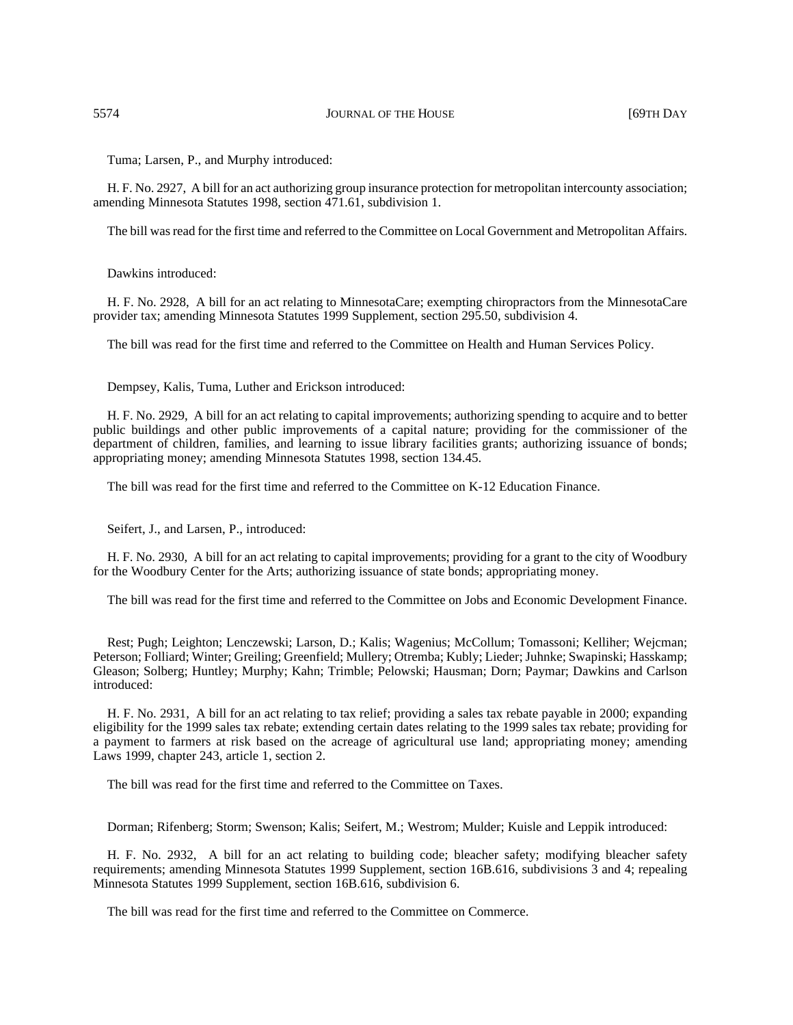Tuma; Larsen, P., and Murphy introduced:

H. F. No. 2927, A bill for an act authorizing group insurance protection for metropolitan intercounty association; amending Minnesota Statutes 1998, section 471.61, subdivision 1.

The bill was read for the first time and referred to the Committee on Local Government and Metropolitan Affairs.

Dawkins introduced:

H. F. No. 2928, A bill for an act relating to MinnesotaCare; exempting chiropractors from the MinnesotaCare provider tax; amending Minnesota Statutes 1999 Supplement, section 295.50, subdivision 4.

The bill was read for the first time and referred to the Committee on Health and Human Services Policy.

Dempsey, Kalis, Tuma, Luther and Erickson introduced:

H. F. No. 2929, A bill for an act relating to capital improvements; authorizing spending to acquire and to better public buildings and other public improvements of a capital nature; providing for the commissioner of the department of children, families, and learning to issue library facilities grants; authorizing issuance of bonds; appropriating money; amending Minnesota Statutes 1998, section 134.45.

The bill was read for the first time and referred to the Committee on K-12 Education Finance.

Seifert, J., and Larsen, P., introduced:

H. F. No. 2930, A bill for an act relating to capital improvements; providing for a grant to the city of Woodbury for the Woodbury Center for the Arts; authorizing issuance of state bonds; appropriating money.

The bill was read for the first time and referred to the Committee on Jobs and Economic Development Finance.

Rest; Pugh; Leighton; Lenczewski; Larson, D.; Kalis; Wagenius; McCollum; Tomassoni; Kelliher; Wejcman; Peterson; Folliard; Winter; Greiling; Greenfield; Mullery; Otremba; Kubly; Lieder; Juhnke; Swapinski; Hasskamp; Gleason; Solberg; Huntley; Murphy; Kahn; Trimble; Pelowski; Hausman; Dorn; Paymar; Dawkins and Carlson introduced:

H. F. No. 2931, A bill for an act relating to tax relief; providing a sales tax rebate payable in 2000; expanding eligibility for the 1999 sales tax rebate; extending certain dates relating to the 1999 sales tax rebate; providing for a payment to farmers at risk based on the acreage of agricultural use land; appropriating money; amending Laws 1999, chapter 243, article 1, section 2.

The bill was read for the first time and referred to the Committee on Taxes.

Dorman; Rifenberg; Storm; Swenson; Kalis; Seifert, M.; Westrom; Mulder; Kuisle and Leppik introduced:

H. F. No. 2932, A bill for an act relating to building code; bleacher safety; modifying bleacher safety requirements; amending Minnesota Statutes 1999 Supplement, section 16B.616, subdivisions 3 and 4; repealing Minnesota Statutes 1999 Supplement, section 16B.616, subdivision 6.

The bill was read for the first time and referred to the Committee on Commerce.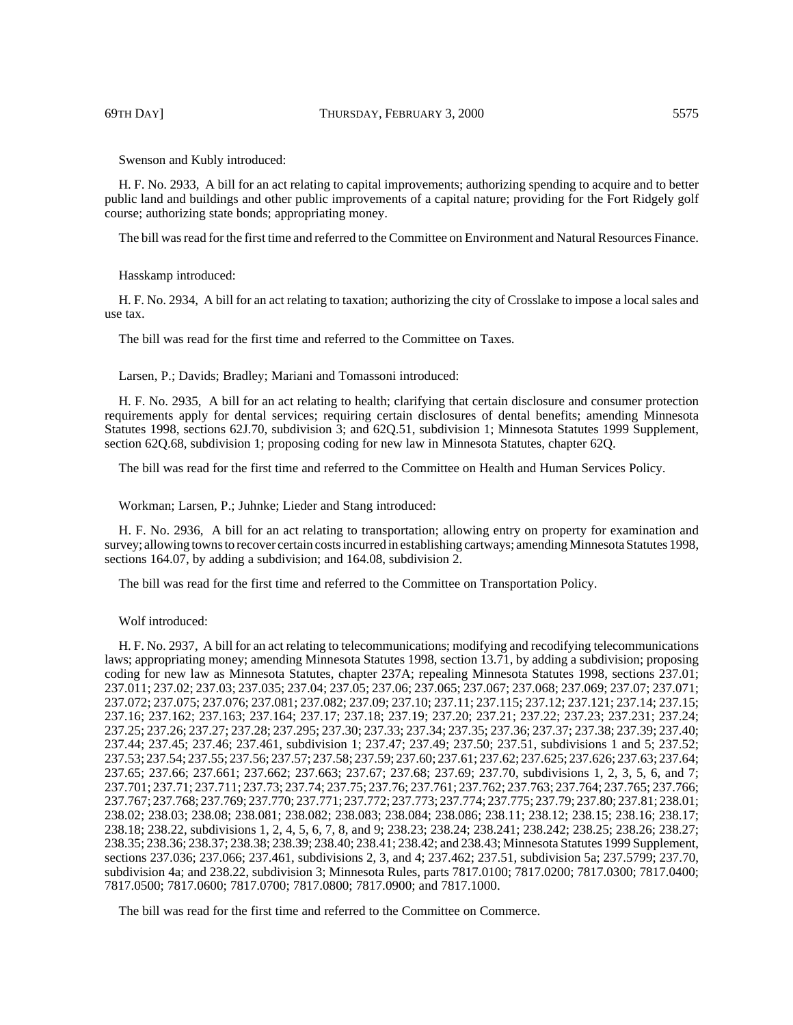Swenson and Kubly introduced:

H. F. No. 2933, A bill for an act relating to capital improvements; authorizing spending to acquire and to better public land and buildings and other public improvements of a capital nature; providing for the Fort Ridgely golf course; authorizing state bonds; appropriating money.

The bill was read for the first time and referred to the Committee on Environment and Natural Resources Finance.

Hasskamp introduced:

H. F. No. 2934, A bill for an act relating to taxation; authorizing the city of Crosslake to impose a local sales and use tax.

The bill was read for the first time and referred to the Committee on Taxes.

Larsen, P.; Davids; Bradley; Mariani and Tomassoni introduced:

H. F. No. 2935, A bill for an act relating to health; clarifying that certain disclosure and consumer protection requirements apply for dental services; requiring certain disclosures of dental benefits; amending Minnesota Statutes 1998, sections 62J.70, subdivision 3; and 62Q.51, subdivision 1; Minnesota Statutes 1999 Supplement, section 62Q.68, subdivision 1; proposing coding for new law in Minnesota Statutes, chapter 62Q.

The bill was read for the first time and referred to the Committee on Health and Human Services Policy.

Workman; Larsen, P.; Juhnke; Lieder and Stang introduced:

H. F. No. 2936, A bill for an act relating to transportation; allowing entry on property for examination and survey; allowing towns to recover certain costs incurred in establishing cartways; amending Minnesota Statutes 1998, sections 164.07, by adding a subdivision; and 164.08, subdivision 2.

The bill was read for the first time and referred to the Committee on Transportation Policy.

#### Wolf introduced:

H. F. No. 2937, A bill for an act relating to telecommunications; modifying and recodifying telecommunications laws; appropriating money; amending Minnesota Statutes 1998, section 13.71, by adding a subdivision; proposing coding for new law as Minnesota Statutes, chapter 237A; repealing Minnesota Statutes 1998, sections 237.01; 237.011; 237.02; 237.03; 237.035; 237.04; 237.05; 237.06; 237.065; 237.067; 237.068; 237.069; 237.07; 237.071; 237.072; 237.075; 237.076; 237.081; 237.082; 237.09; 237.10; 237.11; 237.115; 237.12; 237.121; 237.14; 237.15; 237.16; 237.162; 237.163; 237.164; 237.17; 237.18; 237.19; 237.20; 237.21; 237.22; 237.23; 237.231; 237.24; 237.25; 237.26; 237.27; 237.28; 237.295; 237.30; 237.33; 237.34; 237.35; 237.36; 237.37; 237.38; 237.39; 237.40; 237.44; 237.45; 237.46; 237.461, subdivision 1; 237.47; 237.49; 237.50; 237.51, subdivisions 1 and 5; 237.52; 237.53; 237.54; 237.55; 237.56; 237.57; 237.58; 237.59; 237.60; 237.61; 237.62; 237.625; 237.626; 237.63; 237.64; 237.65; 237.66; 237.661; 237.662; 237.663; 237.67; 237.68; 237.69; 237.70, subdivisions 1, 2, 3, 5, 6, and 7; 237.701; 237.71; 237.711; 237.73; 237.74; 237.75; 237.76; 237.761; 237.762; 237.763; 237.764; 237.765; 237.766; 237.767; 237.768; 237.769; 237.770; 237.771; 237.772; 237.773; 237.774; 237.775; 237.79; 237.80; 237.81; 238.01; 238.02; 238.03; 238.08; 238.081; 238.082; 238.083; 238.084; 238.086; 238.11; 238.12; 238.15; 238.16; 238.17; 238.18; 238.22, subdivisions 1, 2, 4, 5, 6, 7, 8, and 9; 238.23; 238.24; 238.241; 238.242; 238.25; 238.26; 238.27; 238.35; 238.36; 238.37; 238.38; 238.39; 238.40; 238.41; 238.42; and 238.43; Minnesota Statutes 1999 Supplement, sections 237.036; 237.066; 237.461, subdivisions 2, 3, and 4; 237.462; 237.51, subdivision 5a; 237.5799; 237.70, subdivision 4a; and 238.22, subdivision 3; Minnesota Rules, parts 7817.0100; 7817.0200; 7817.0300; 7817.0400; 7817.0500; 7817.0600; 7817.0700; 7817.0800; 7817.0900; and 7817.1000.

The bill was read for the first time and referred to the Committee on Commerce.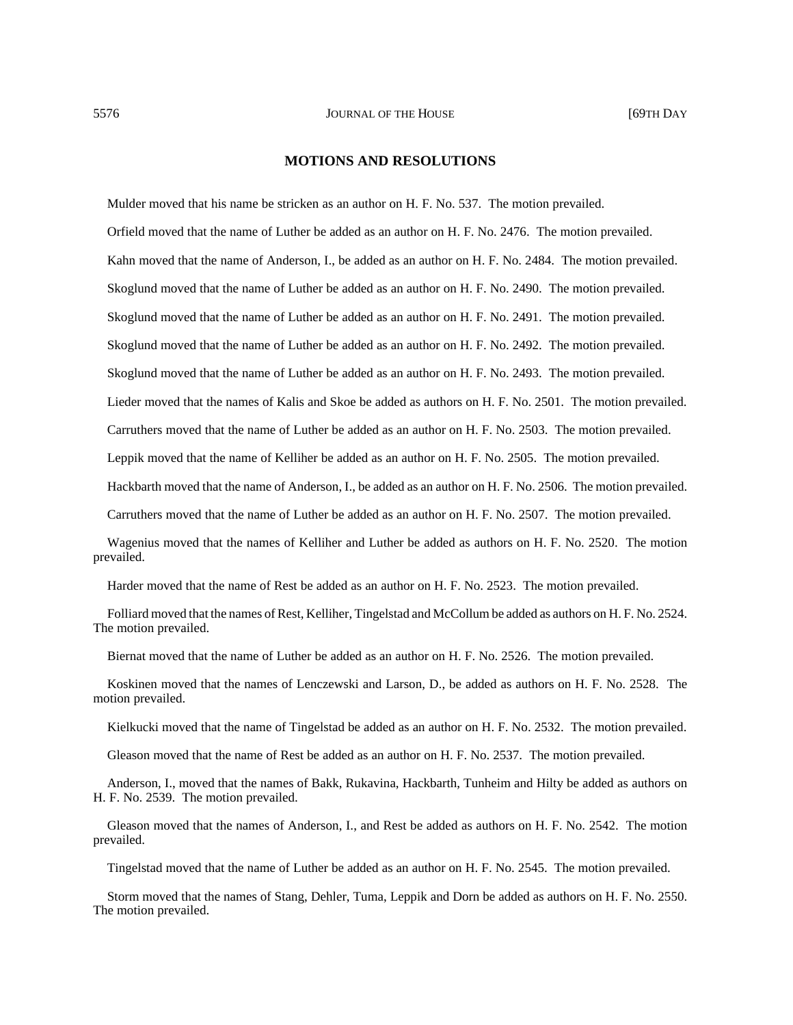### **MOTIONS AND RESOLUTIONS**

Mulder moved that his name be stricken as an author on H. F. No. 537. The motion prevailed.

Orfield moved that the name of Luther be added as an author on H. F. No. 2476. The motion prevailed.

Kahn moved that the name of Anderson, I., be added as an author on H. F. No. 2484. The motion prevailed.

Skoglund moved that the name of Luther be added as an author on H. F. No. 2490. The motion prevailed.

Skoglund moved that the name of Luther be added as an author on H. F. No. 2491. The motion prevailed.

Skoglund moved that the name of Luther be added as an author on H. F. No. 2492. The motion prevailed.

Skoglund moved that the name of Luther be added as an author on H. F. No. 2493. The motion prevailed.

Lieder moved that the names of Kalis and Skoe be added as authors on H. F. No. 2501. The motion prevailed.

Carruthers moved that the name of Luther be added as an author on H. F. No. 2503. The motion prevailed.

Leppik moved that the name of Kelliher be added as an author on H. F. No. 2505. The motion prevailed.

Hackbarth moved that the name of Anderson, I., be added as an author on H. F. No. 2506. The motion prevailed.

Carruthers moved that the name of Luther be added as an author on H. F. No. 2507. The motion prevailed.

Wagenius moved that the names of Kelliher and Luther be added as authors on H. F. No. 2520. The motion prevailed.

Harder moved that the name of Rest be added as an author on H. F. No. 2523. The motion prevailed.

Folliard moved that the names of Rest, Kelliher, Tingelstad and McCollum be added as authors on H. F. No. 2524. The motion prevailed.

Biernat moved that the name of Luther be added as an author on H. F. No. 2526. The motion prevailed.

Koskinen moved that the names of Lenczewski and Larson, D., be added as authors on H. F. No. 2528. The motion prevailed.

Kielkucki moved that the name of Tingelstad be added as an author on H. F. No. 2532. The motion prevailed.

Gleason moved that the name of Rest be added as an author on H. F. No. 2537. The motion prevailed.

Anderson, I., moved that the names of Bakk, Rukavina, Hackbarth, Tunheim and Hilty be added as authors on H. F. No. 2539. The motion prevailed.

Gleason moved that the names of Anderson, I., and Rest be added as authors on H. F. No. 2542. The motion prevailed.

Tingelstad moved that the name of Luther be added as an author on H. F. No. 2545. The motion prevailed.

Storm moved that the names of Stang, Dehler, Tuma, Leppik and Dorn be added as authors on H. F. No. 2550. The motion prevailed.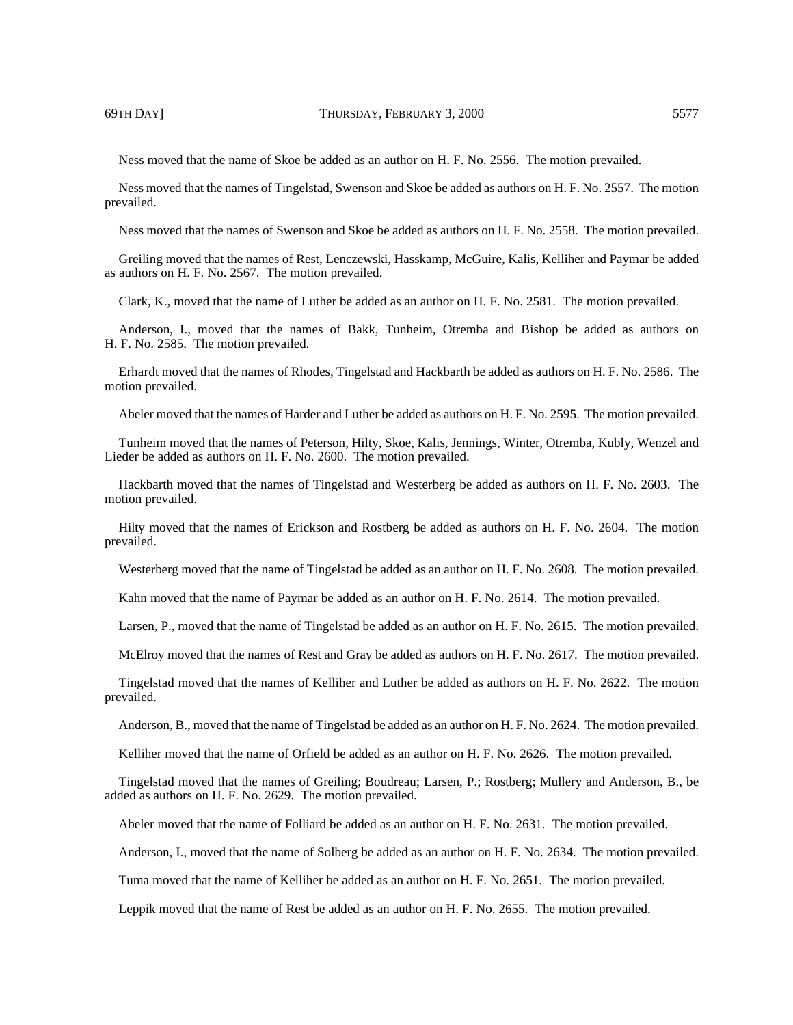Ness moved that the name of Skoe be added as an author on H. F. No. 2556. The motion prevailed.

Ness moved that the names of Tingelstad, Swenson and Skoe be added as authors on H. F. No. 2557. The motion prevailed.

Ness moved that the names of Swenson and Skoe be added as authors on H. F. No. 2558. The motion prevailed.

Greiling moved that the names of Rest, Lenczewski, Hasskamp, McGuire, Kalis, Kelliher and Paymar be added as authors on H. F. No. 2567. The motion prevailed.

Clark, K., moved that the name of Luther be added as an author on H. F. No. 2581. The motion prevailed.

Anderson, I., moved that the names of Bakk, Tunheim, Otremba and Bishop be added as authors on H. F. No. 2585. The motion prevailed.

Erhardt moved that the names of Rhodes, Tingelstad and Hackbarth be added as authors on H. F. No. 2586. The motion prevailed.

Abeler moved that the names of Harder and Luther be added as authors on H. F. No. 2595. The motion prevailed.

Tunheim moved that the names of Peterson, Hilty, Skoe, Kalis, Jennings, Winter, Otremba, Kubly, Wenzel and Lieder be added as authors on H. F. No. 2600. The motion prevailed.

Hackbarth moved that the names of Tingelstad and Westerberg be added as authors on H. F. No. 2603. The motion prevailed.

Hilty moved that the names of Erickson and Rostberg be added as authors on H. F. No. 2604. The motion prevailed.

Westerberg moved that the name of Tingelstad be added as an author on H. F. No. 2608. The motion prevailed.

Kahn moved that the name of Paymar be added as an author on H. F. No. 2614. The motion prevailed.

Larsen, P., moved that the name of Tingelstad be added as an author on H. F. No. 2615. The motion prevailed.

McElroy moved that the names of Rest and Gray be added as authors on H. F. No. 2617. The motion prevailed.

Tingelstad moved that the names of Kelliher and Luther be added as authors on H. F. No. 2622. The motion prevailed.

Anderson, B., moved that the name of Tingelstad be added as an author on H. F. No. 2624. The motion prevailed.

Kelliher moved that the name of Orfield be added as an author on H. F. No. 2626. The motion prevailed.

Tingelstad moved that the names of Greiling; Boudreau; Larsen, P.; Rostberg; Mullery and Anderson, B., be added as authors on H. F. No. 2629. The motion prevailed.

Abeler moved that the name of Folliard be added as an author on H. F. No. 2631. The motion prevailed.

Anderson, I., moved that the name of Solberg be added as an author on H. F. No. 2634. The motion prevailed.

Tuma moved that the name of Kelliher be added as an author on H. F. No. 2651. The motion prevailed.

Leppik moved that the name of Rest be added as an author on H. F. No. 2655. The motion prevailed.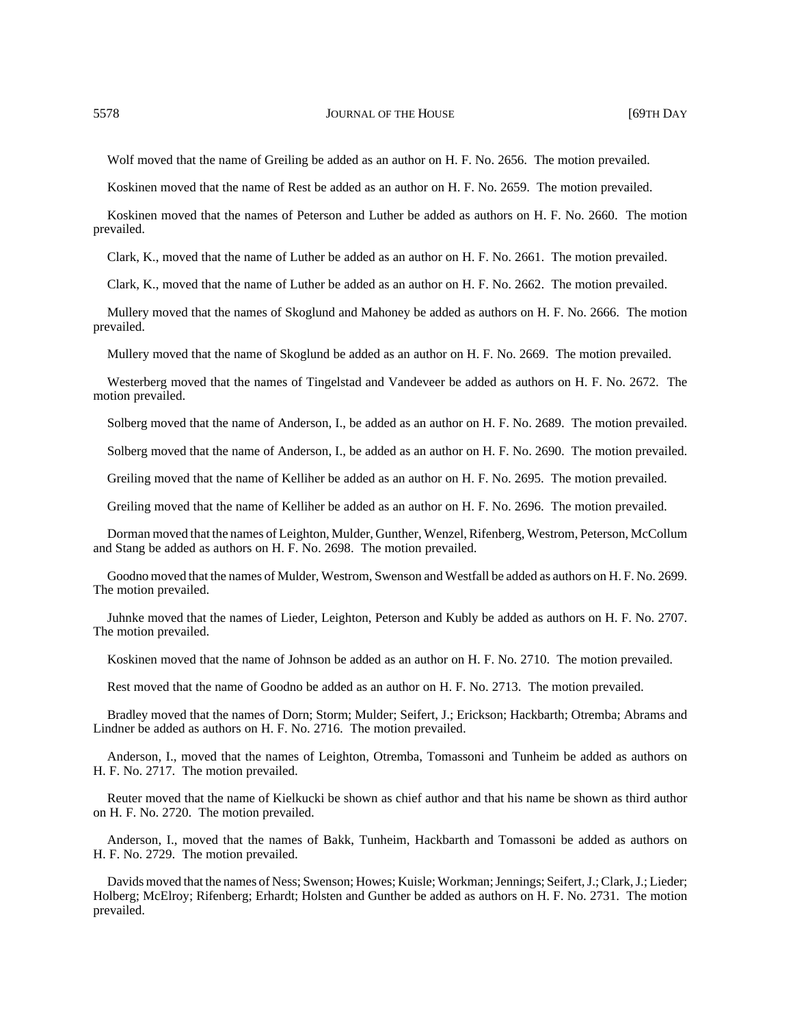Wolf moved that the name of Greiling be added as an author on H. F. No. 2656. The motion prevailed.

Koskinen moved that the name of Rest be added as an author on H. F. No. 2659. The motion prevailed.

Koskinen moved that the names of Peterson and Luther be added as authors on H. F. No. 2660. The motion prevailed.

Clark, K., moved that the name of Luther be added as an author on H. F. No. 2661. The motion prevailed.

Clark, K., moved that the name of Luther be added as an author on H. F. No. 2662. The motion prevailed.

Mullery moved that the names of Skoglund and Mahoney be added as authors on H. F. No. 2666. The motion prevailed.

Mullery moved that the name of Skoglund be added as an author on H. F. No. 2669. The motion prevailed.

Westerberg moved that the names of Tingelstad and Vandeveer be added as authors on H. F. No. 2672. The motion prevailed.

Solberg moved that the name of Anderson, I., be added as an author on H. F. No. 2689. The motion prevailed.

Solberg moved that the name of Anderson, I., be added as an author on H. F. No. 2690. The motion prevailed.

Greiling moved that the name of Kelliher be added as an author on H. F. No. 2695. The motion prevailed.

Greiling moved that the name of Kelliher be added as an author on H. F. No. 2696. The motion prevailed.

Dorman moved that the names of Leighton, Mulder, Gunther, Wenzel, Rifenberg, Westrom, Peterson, McCollum and Stang be added as authors on H. F. No. 2698. The motion prevailed.

Goodno moved that the names of Mulder, Westrom, Swenson and Westfall be added as authors on H. F. No. 2699. The motion prevailed.

Juhnke moved that the names of Lieder, Leighton, Peterson and Kubly be added as authors on H. F. No. 2707. The motion prevailed.

Koskinen moved that the name of Johnson be added as an author on H. F. No. 2710. The motion prevailed.

Rest moved that the name of Goodno be added as an author on H. F. No. 2713. The motion prevailed.

Bradley moved that the names of Dorn; Storm; Mulder; Seifert, J.; Erickson; Hackbarth; Otremba; Abrams and Lindner be added as authors on H. F. No. 2716. The motion prevailed.

Anderson, I., moved that the names of Leighton, Otremba, Tomassoni and Tunheim be added as authors on H. F. No. 2717. The motion prevailed.

Reuter moved that the name of Kielkucki be shown as chief author and that his name be shown as third author on H. F. No. 2720. The motion prevailed.

Anderson, I., moved that the names of Bakk, Tunheim, Hackbarth and Tomassoni be added as authors on H. F. No. 2729. The motion prevailed.

Davids moved that the names of Ness; Swenson; Howes; Kuisle; Workman; Jennings; Seifert, J.; Clark, J.; Lieder; Holberg; McElroy; Rifenberg; Erhardt; Holsten and Gunther be added as authors on H. F. No. 2731. The motion prevailed.